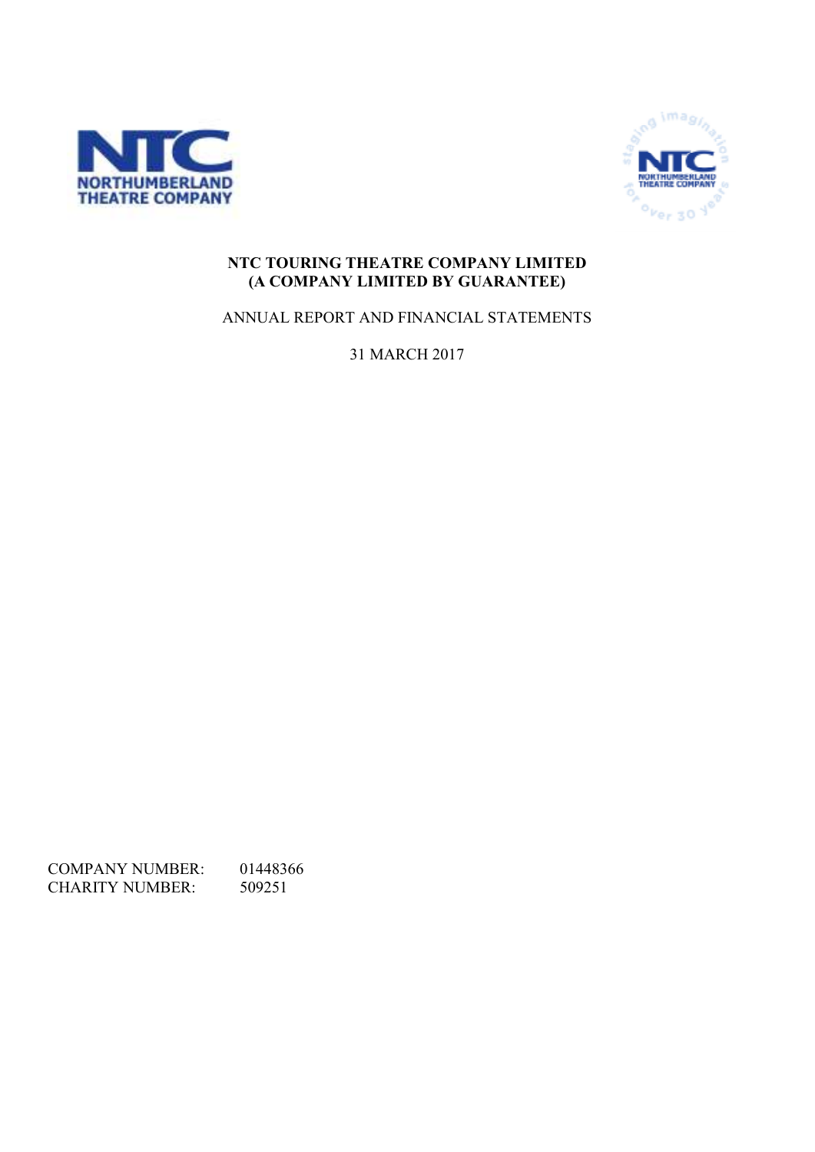



## **NTC TOURING THEATRE COMPANY LIMITED (A COMPANY LIMITED BY GUARANTEE)**

ANNUAL REPORT AND FINANCIAL STATEMENTS

31 MARCH 2017

COMPANY NUMBER: 01448366<br>CHARITY NUMBER: 509251 CHARITY NUMBER: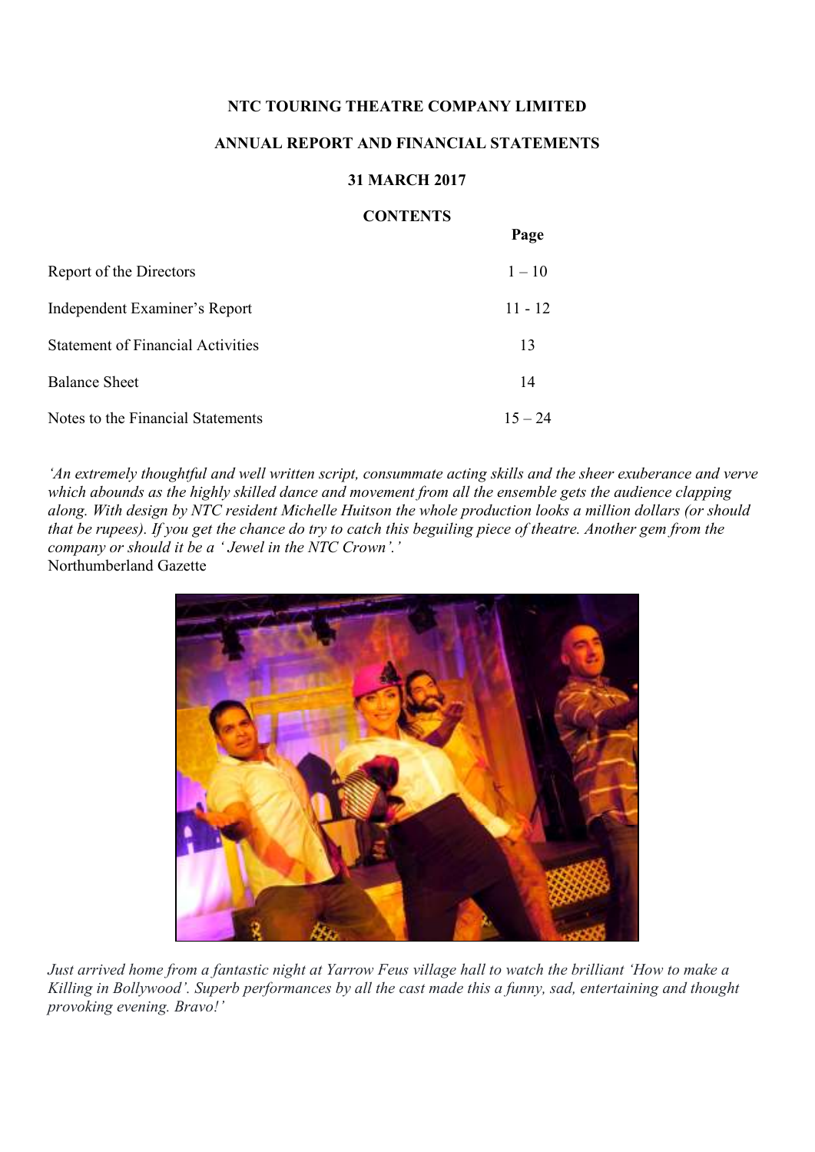### **ANNUAL REPORT AND FINANCIAL STATEMENTS**

#### **31 MARCH 2017**

#### **CONTENTS**

 $\mathbf{p}_{\text{max}}$ 

|                                          | I age     |
|------------------------------------------|-----------|
| Report of the Directors                  | $1 - 10$  |
| Independent Examiner's Report            | $11 - 12$ |
| <b>Statement of Financial Activities</b> | 13        |
| <b>Balance Sheet</b>                     | 14        |
| Notes to the Financial Statements        | $15 - 24$ |

*'An extremely thoughtful and well written script, consummate acting skills and the sheer exuberance and verve which abounds as the highly skilled dance and movement from all the ensemble gets the audience clapping along. With design by NTC resident Michelle Huitson the whole production looks a million dollars (or should that be rupees). If you get the chance do try to catch this beguiling piece of theatre. Another gem from the company or should it be a ' Jewel in the NTC Crown'.'*  Northumberland Gazette



*Just arrived home from a fantastic night at Yarrow Feus village hall to watch the brilliant 'How to make a Killing in Bollywood'. Superb performances by all the cast made this a funny, sad, entertaining and thought provoking evening. Bravo!'*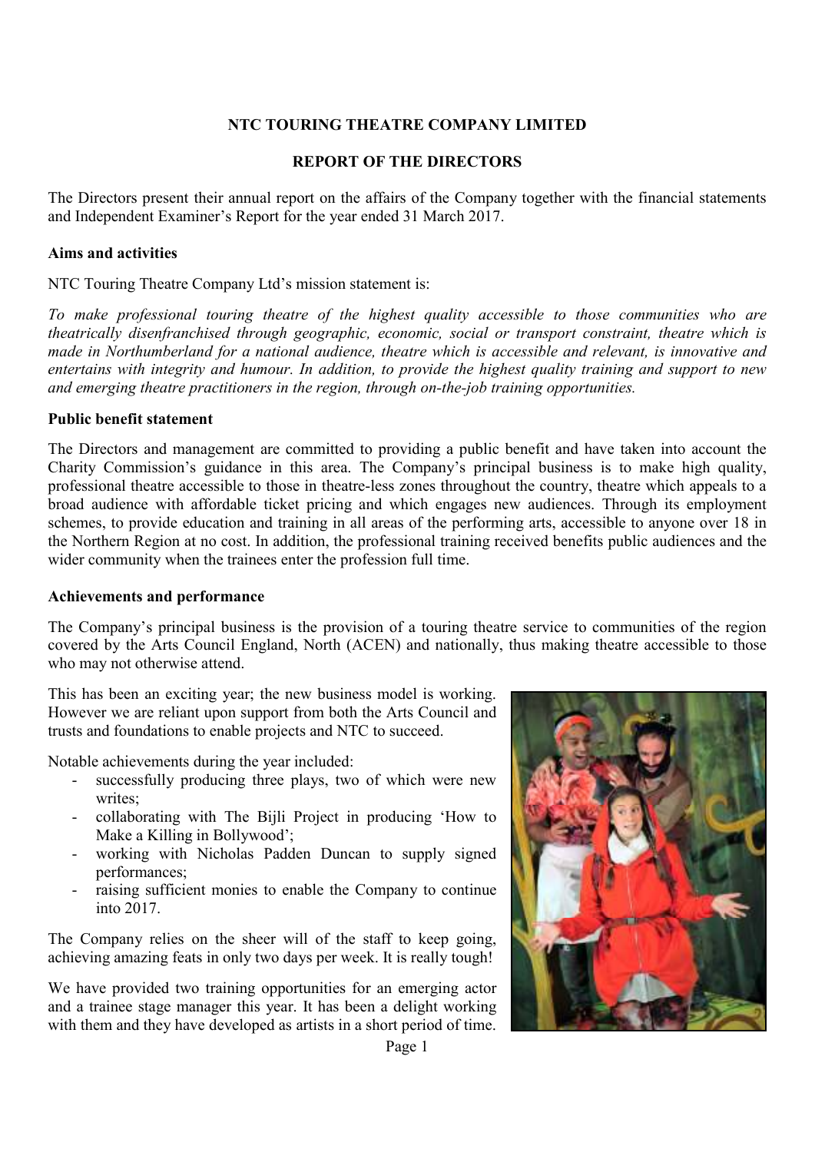### **REPORT OF THE DIRECTORS**

The Directors present their annual report on the affairs of the Company together with the financial statements and Independent Examiner's Report for the year ended 31 March 2017.

#### **Aims and activities**

NTC Touring Theatre Company Ltd's mission statement is:

*To make professional touring theatre of the highest quality accessible to those communities who are theatrically disenfranchised through geographic, economic, social or transport constraint, theatre which is made in Northumberland for a national audience, theatre which is accessible and relevant, is innovative and entertains with integrity and humour. In addition, to provide the highest quality training and support to new and emerging theatre practitioners in the region, through on-the-job training opportunities.* 

#### **Public benefit statement**

The Directors and management are committed to providing a public benefit and have taken into account the Charity Commission's guidance in this area. The Company's principal business is to make high quality, professional theatre accessible to those in theatre-less zones throughout the country, theatre which appeals to a broad audience with affordable ticket pricing and which engages new audiences. Through its employment schemes, to provide education and training in all areas of the performing arts, accessible to anyone over 18 in the Northern Region at no cost. In addition, the professional training received benefits public audiences and the wider community when the trainees enter the profession full time.

#### **Achievements and performance**

The Company's principal business is the provision of a touring theatre service to communities of the region covered by the Arts Council England, North (ACEN) and nationally, thus making theatre accessible to those who may not otherwise attend.

This has been an exciting year; the new business model is working. However we are reliant upon support from both the Arts Council and trusts and foundations to enable projects and NTC to succeed.

Notable achievements during the year included:

- successfully producing three plays, two of which were new writes;
- collaborating with The Bijli Project in producing 'How to Make a Killing in Bollywood';
- working with Nicholas Padden Duncan to supply signed performances;
- raising sufficient monies to enable the Company to continue into 2017.

The Company relies on the sheer will of the staff to keep going, achieving amazing feats in only two days per week. It is really tough!

We have provided two training opportunities for an emerging actor and a trainee stage manager this year. It has been a delight working with them and they have developed as artists in a short period of time.

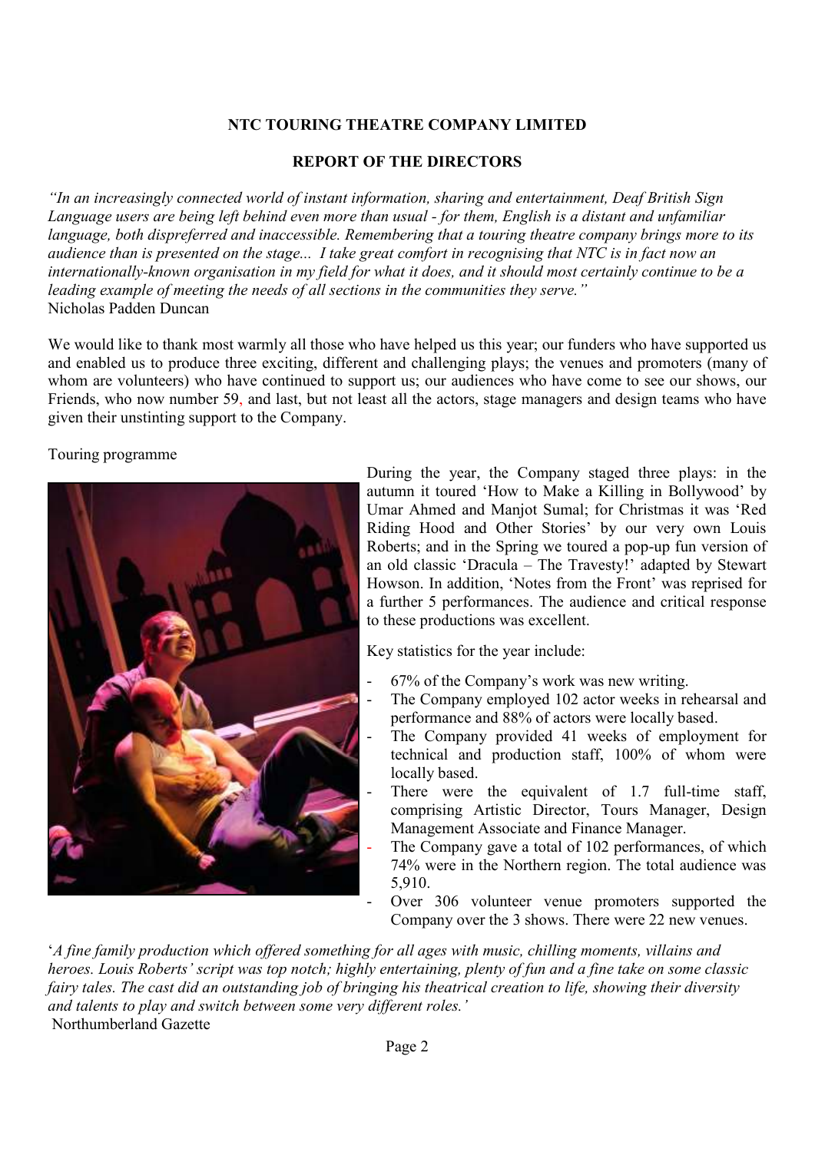## **REPORT OF THE DIRECTORS**

*"In an increasingly connected world of instant information, sharing and entertainment, Deaf British Sign Language users are being left behind even more than usual - for them, English is a distant and unfamiliar language, both dispreferred and inaccessible. Remembering that a touring theatre company brings more to its audience than is presented on the stage... I take great comfort in recognising that NTC is in fact now an internationally-known organisation in my field for what it does, and it should most certainly continue to be a leading example of meeting the needs of all sections in the communities they serve."*  Nicholas Padden Duncan

We would like to thank most warmly all those who have helped us this year; our funders who have supported us and enabled us to produce three exciting, different and challenging plays; the venues and promoters (many of whom are volunteers) who have continued to support us; our audiences who have come to see our shows, our Friends, who now number 59, and last, but not least all the actors, stage managers and design teams who have given their unstinting support to the Company.

Touring programme



During the year, the Company staged three plays: in the autumn it toured 'How to Make a Killing in Bollywood' by Umar Ahmed and Manjot Sumal; for Christmas it was 'Red Riding Hood and Other Stories' by our very own Louis Roberts; and in the Spring we toured a pop-up fun version of an old classic 'Dracula – The Travesty!' adapted by Stewart Howson. In addition, 'Notes from the Front' was reprised for a further 5 performances. The audience and critical response to these productions was excellent.

Key statistics for the year include:

- 67% of the Company's work was new writing.
- The Company employed 102 actor weeks in rehearsal and performance and 88% of actors were locally based.
- The Company provided 41 weeks of employment for technical and production staff, 100% of whom were locally based.
- There were the equivalent of  $1.7$  full-time staff, comprising Artistic Director, Tours Manager, Design Management Associate and Finance Manager.
- The Company gave a total of 102 performances, of which 74% were in the Northern region. The total audience was 5,910.
- Over 306 volunteer venue promoters supported the Company over the 3 shows. There were 22 new venues.

'*A fine family production which offered something for all ages with music, chilling moments, villains and heroes. Louis Roberts' script was top notch; highly entertaining, plenty of fun and a fine take on some classic fairy tales. The cast did an outstanding job of bringing his theatrical creation to life, showing their diversity and talents to play and switch between some very different roles.'*  Northumberland Gazette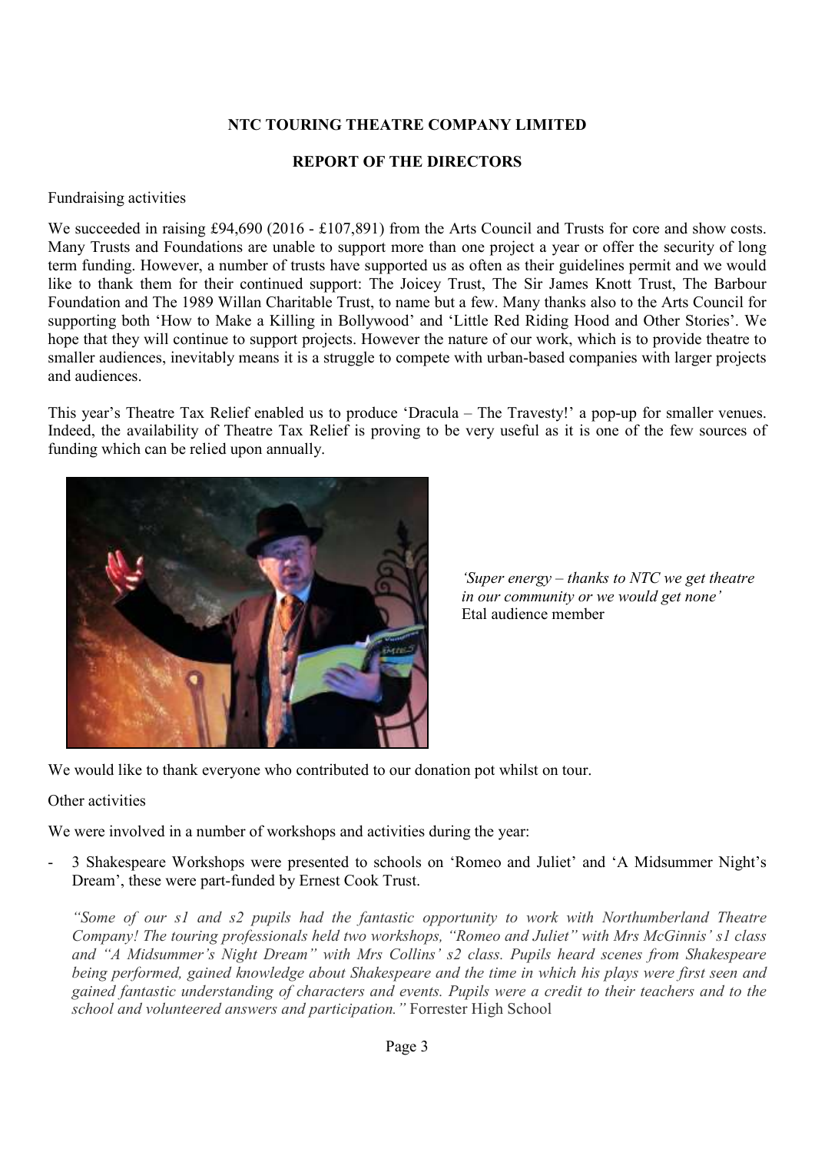### **REPORT OF THE DIRECTORS**

#### Fundraising activities

We succeeded in raising £94,690 (2016 - £107,891) from the Arts Council and Trusts for core and show costs. Many Trusts and Foundations are unable to support more than one project a year or offer the security of long term funding. However, a number of trusts have supported us as often as their guidelines permit and we would like to thank them for their continued support: The Joicey Trust, The Sir James Knott Trust, The Barbour Foundation and The 1989 Willan Charitable Trust, to name but a few. Many thanks also to the Arts Council for supporting both 'How to Make a Killing in Bollywood' and 'Little Red Riding Hood and Other Stories'. We hope that they will continue to support projects. However the nature of our work, which is to provide theatre to smaller audiences, inevitably means it is a struggle to compete with urban-based companies with larger projects and audiences.

This year's Theatre Tax Relief enabled us to produce 'Dracula – The Travesty!' a pop-up for smaller venues. Indeed, the availability of Theatre Tax Relief is proving to be very useful as it is one of the few sources of funding which can be relied upon annually.



*'Super energy – thanks to NTC we get theatre in our community or we would get none'* Etal audience member

We would like to thank everyone who contributed to our donation pot whilst on tour.

### Other activities

We were involved in a number of workshops and activities during the year:

- 3 Shakespeare Workshops were presented to schools on 'Romeo and Juliet' and 'A Midsummer Night's Dream', these were part-funded by Ernest Cook Trust.

*"Some of our s1 and s2 pupils had the fantastic opportunity to work with Northumberland Theatre Company! The touring professionals held two workshops, "Romeo and Juliet" with Mrs McGinnis' s1 class and "A Midsummer's Night Dream" with Mrs Collins' s2 class. Pupils heard scenes from Shakespeare being performed, gained knowledge about Shakespeare and the time in which his plays were first seen and gained fantastic understanding of characters and events. Pupils were a credit to their teachers and to the school and volunteered answers and participation."* Forrester High School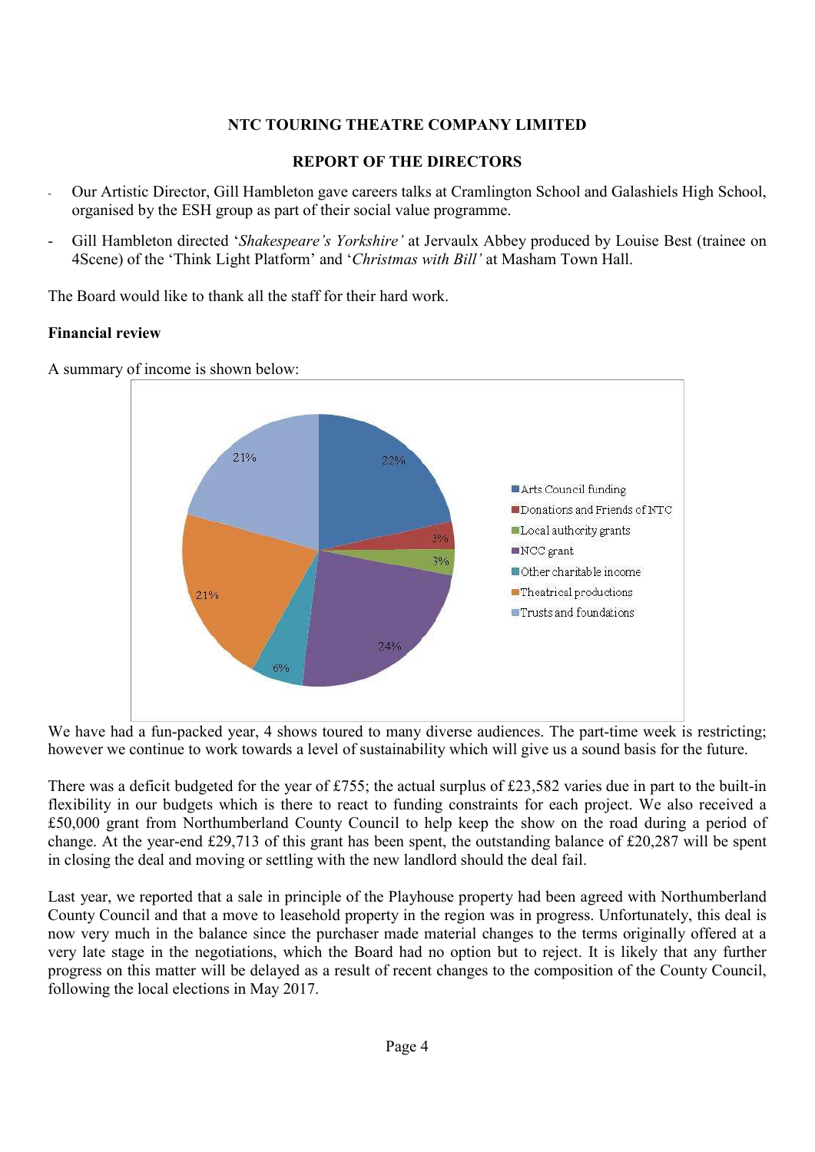## **REPORT OF THE DIRECTORS**

- Our Artistic Director, Gill Hambleton gave careers talks at Cramlington School and Galashiels High School, organised by the ESH group as part of their social value programme.
- Gill Hambleton directed '*Shakespeare's Yorkshire'* at Jervaulx Abbey produced by Louise Best (trainee on 4Scene) of the 'Think Light Platform' and '*Christmas with Bill'* at Masham Town Hall.

The Board would like to thank all the staff for their hard work.

## **Financial review**



A summary of income is shown below:

We have had a fun-packed year, 4 shows toured to many diverse audiences. The part-time week is restricting; however we continue to work towards a level of sustainability which will give us a sound basis for the future.

There was a deficit budgeted for the year of £755; the actual surplus of £23,582 varies due in part to the built-in flexibility in our budgets which is there to react to funding constraints for each project. We also received a £50,000 grant from Northumberland County Council to help keep the show on the road during a period of change. At the year-end £29,713 of this grant has been spent, the outstanding balance of £20,287 will be spent in closing the deal and moving or settling with the new landlord should the deal fail.

Last year, we reported that a sale in principle of the Playhouse property had been agreed with Northumberland County Council and that a move to leasehold property in the region was in progress. Unfortunately, this deal is now very much in the balance since the purchaser made material changes to the terms originally offered at a very late stage in the negotiations, which the Board had no option but to reject. It is likely that any further progress on this matter will be delayed as a result of recent changes to the composition of the County Council, following the local elections in May 2017.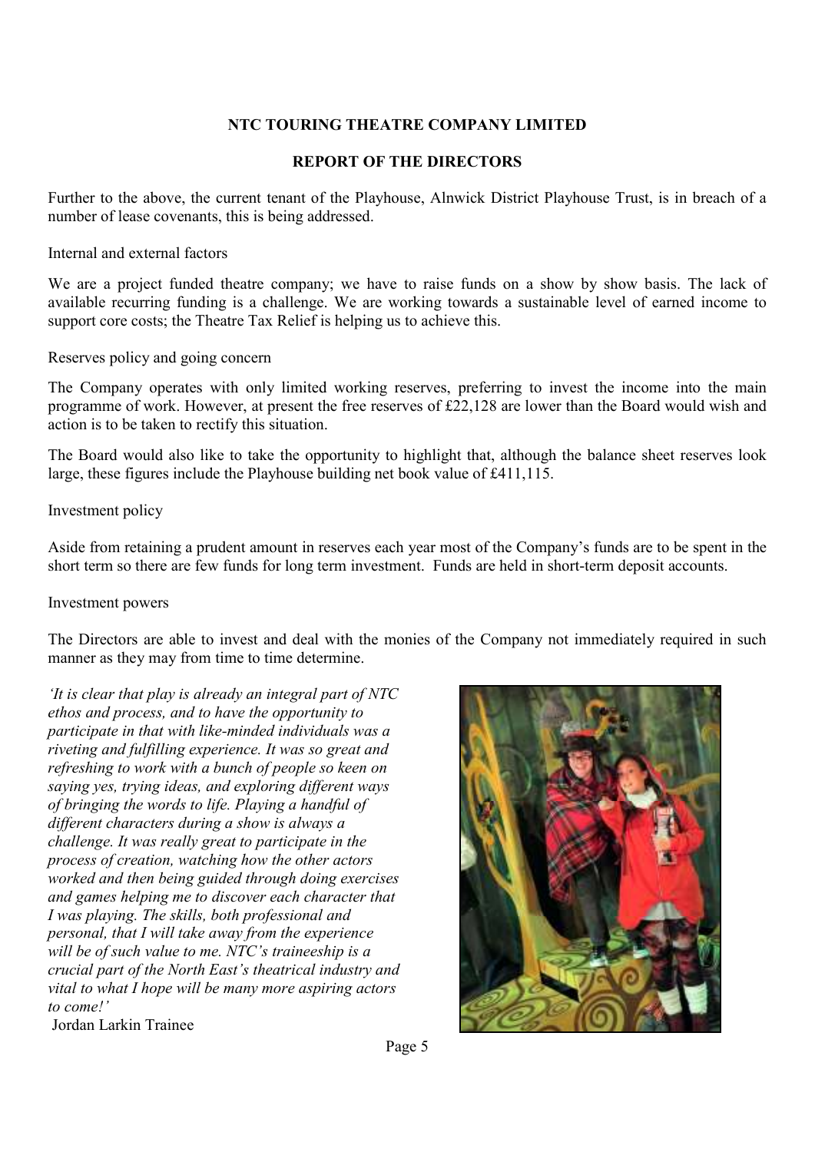## **REPORT OF THE DIRECTORS**

Further to the above, the current tenant of the Playhouse, Alnwick District Playhouse Trust, is in breach of a number of lease covenants, this is being addressed.

Internal and external factors

We are a project funded theatre company; we have to raise funds on a show by show basis. The lack of available recurring funding is a challenge. We are working towards a sustainable level of earned income to support core costs; the Theatre Tax Relief is helping us to achieve this.

Reserves policy and going concern

The Company operates with only limited working reserves, preferring to invest the income into the main programme of work. However, at present the free reserves of £22,128 are lower than the Board would wish and action is to be taken to rectify this situation.

The Board would also like to take the opportunity to highlight that, although the balance sheet reserves look large, these figures include the Playhouse building net book value of £411,115.

Investment policy

Aside from retaining a prudent amount in reserves each year most of the Company's funds are to be spent in the short term so there are few funds for long term investment. Funds are held in short-term deposit accounts.

#### Investment powers

The Directors are able to invest and deal with the monies of the Company not immediately required in such manner as they may from time to time determine.

*'It is clear that play is already an integral part of NTC ethos and process, and to have the opportunity to participate in that with like-minded individuals was a riveting and fulfilling experience. It was so great and refreshing to work with a bunch of people so keen on saying yes, trying ideas, and exploring different ways of bringing the words to life. Playing a handful of different characters during a show is always a challenge. It was really great to participate in the process of creation, watching how the other actors worked and then being guided through doing exercises and games helping me to discover each character that I was playing. The skills, both professional and personal, that I will take away from the experience will be of such value to me. NTC's traineeship is a crucial part of the North East's theatrical industry and vital to what I hope will be many more aspiring actors to come!'*  Jordan Larkin Trainee

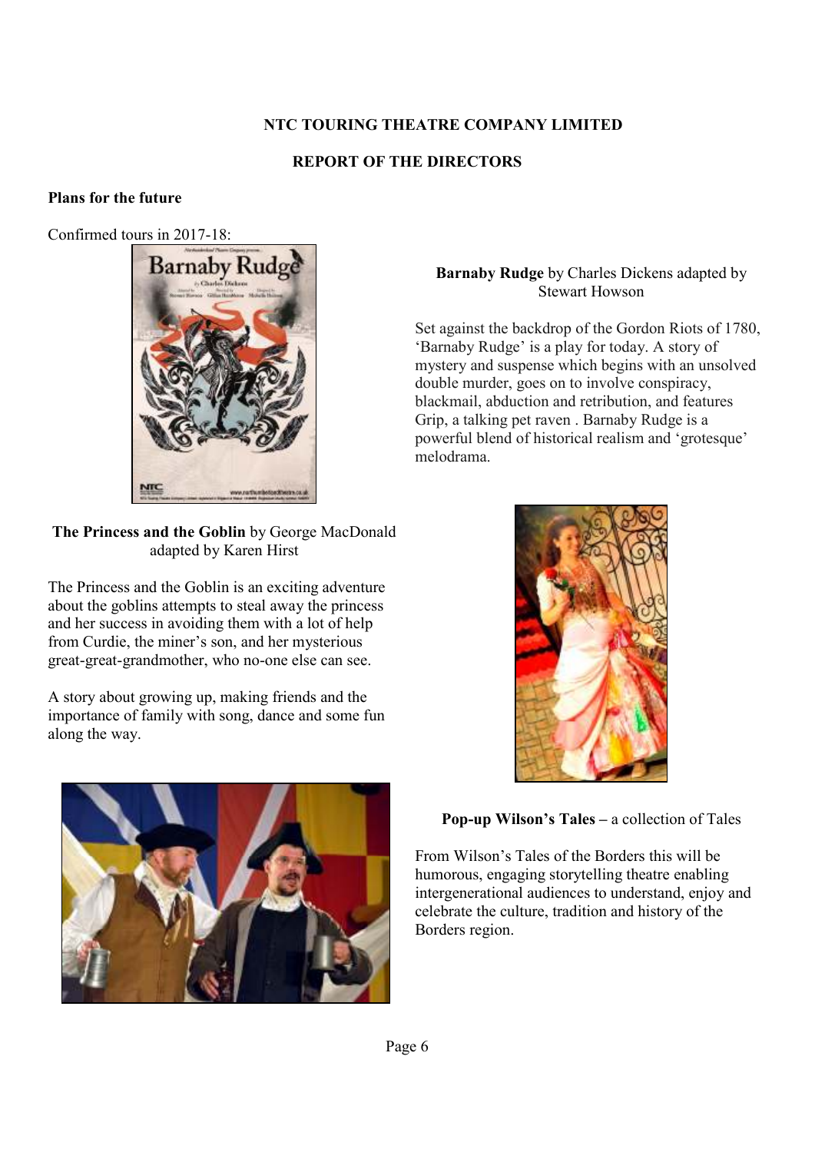## **REPORT OF THE DIRECTORS**

## **Plans for the future**

Confirmed tours in 2017-18:



**The Princess and the Goblin** by George MacDonald adapted by Karen Hirst

The Princess and the Goblin is an exciting adventure about the goblins attempts to steal away the princess and her success in avoiding them with a lot of help from Curdie, the miner's son, and her mysterious great-great-grandmother, who no-one else can see.

A story about growing up, making friends and the importance of family with song, dance and some fun along the way.



## **Barnaby Rudge** by Charles Dickens adapted by Stewart Howson

Set against the backdrop of the Gordon Riots of 1780, 'Barnaby Rudge' is a play for today. A story of mystery and suspense which begins with an unsolved double murder, goes on to involve conspiracy, blackmail, abduction and retribution, and features Grip, a talking pet raven . Barnaby Rudge is a powerful blend of historical realism and 'grotesque' melodrama.



## **Pop-up Wilson's Tales –** a collection of Tales

From Wilson's Tales of the Borders this will be humorous, engaging storytelling theatre enabling intergenerational audiences to understand, enjoy and celebrate the culture, tradition and history of the Borders region.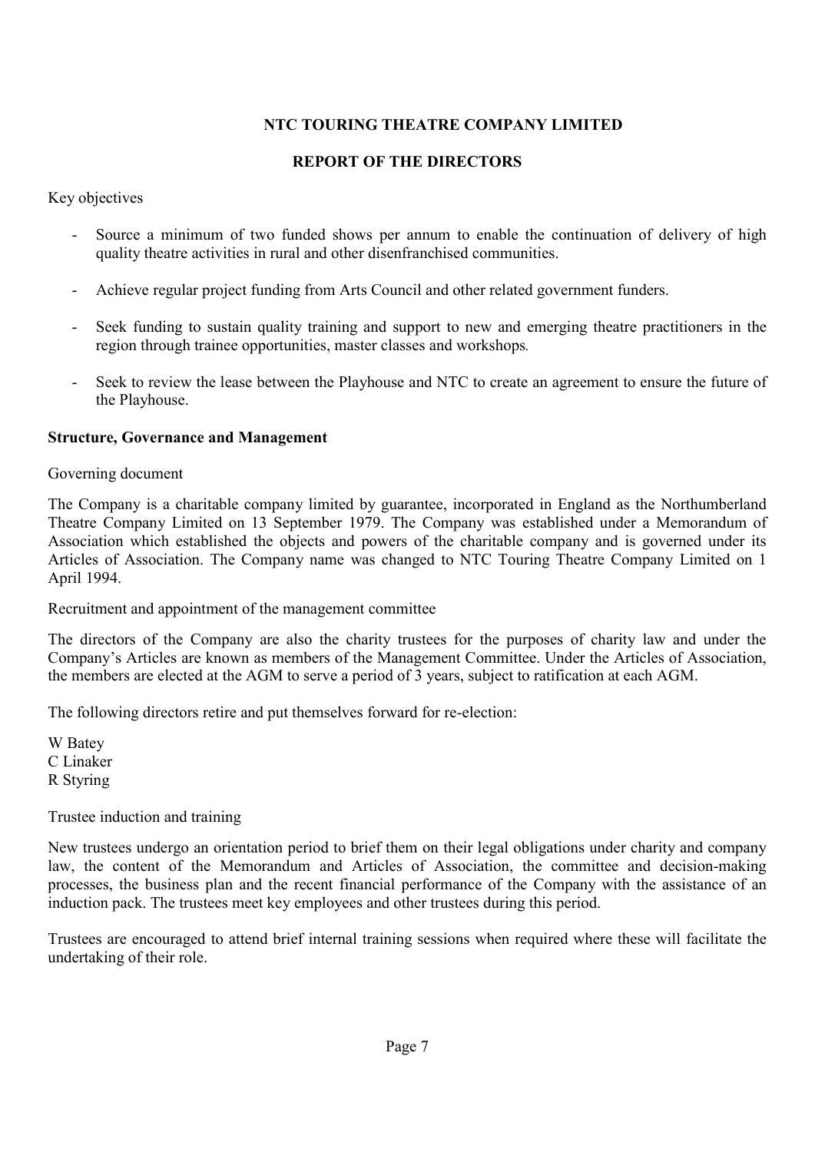## **REPORT OF THE DIRECTORS**

Key objectives

- Source a minimum of two funded shows per annum to enable the continuation of delivery of high quality theatre activities in rural and other disenfranchised communities.
- Achieve regular project funding from Arts Council and other related government funders.
- Seek funding to sustain quality training and support to new and emerging theatre practitioners in the region through trainee opportunities, master classes and workshops*.*
- Seek to review the lease between the Playhouse and NTC to create an agreement to ensure the future of the Playhouse.

#### **Structure, Governance and Management**

Governing document

The Company is a charitable company limited by guarantee, incorporated in England as the Northumberland Theatre Company Limited on 13 September 1979. The Company was established under a Memorandum of Association which established the objects and powers of the charitable company and is governed under its Articles of Association. The Company name was changed to NTC Touring Theatre Company Limited on 1 April 1994.

Recruitment and appointment of the management committee

The directors of the Company are also the charity trustees for the purposes of charity law and under the Company's Articles are known as members of the Management Committee. Under the Articles of Association, the members are elected at the AGM to serve a period of 3 years, subject to ratification at each AGM.

The following directors retire and put themselves forward for re-election:

W Batey C Linaker R Styring

#### Trustee induction and training

New trustees undergo an orientation period to brief them on their legal obligations under charity and company law, the content of the Memorandum and Articles of Association, the committee and decision-making processes, the business plan and the recent financial performance of the Company with the assistance of an induction pack. The trustees meet key employees and other trustees during this period.

Trustees are encouraged to attend brief internal training sessions when required where these will facilitate the undertaking of their role.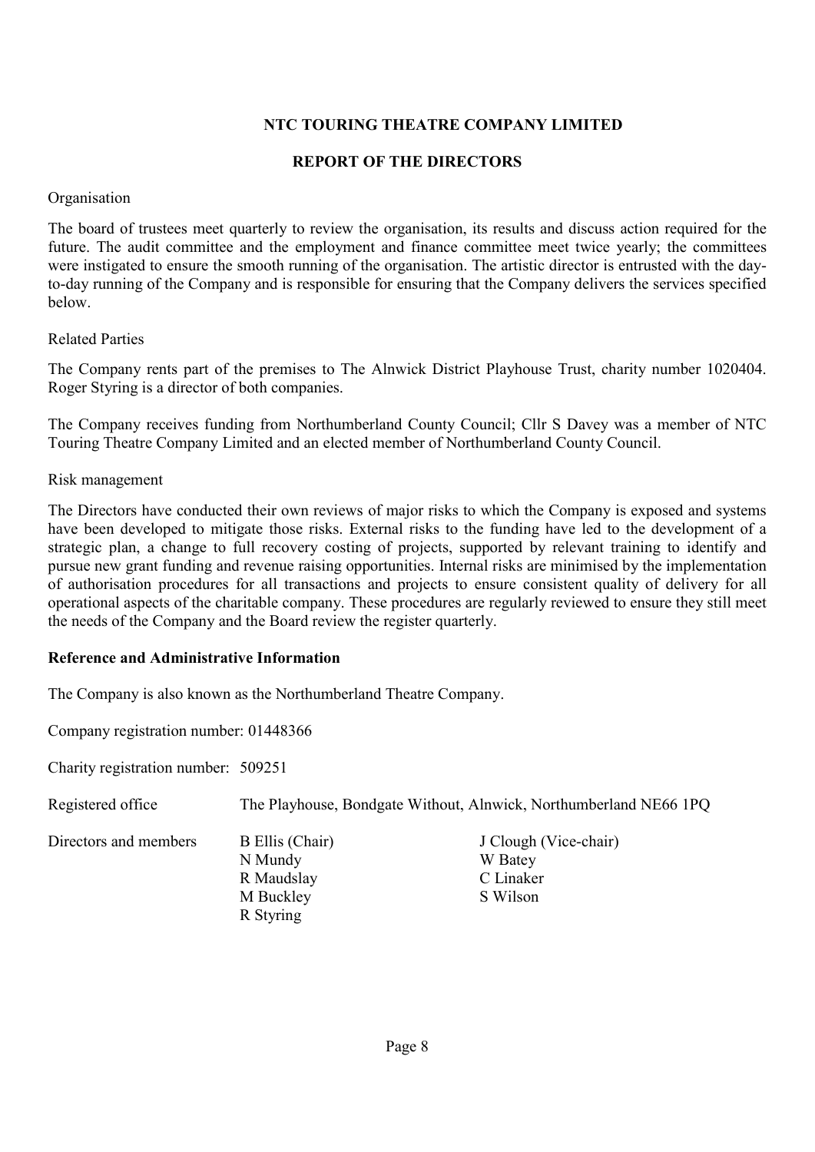## **REPORT OF THE DIRECTORS**

#### **Organisation**

The board of trustees meet quarterly to review the organisation, its results and discuss action required for the future. The audit committee and the employment and finance committee meet twice yearly; the committees were instigated to ensure the smooth running of the organisation. The artistic director is entrusted with the dayto-day running of the Company and is responsible for ensuring that the Company delivers the services specified below.

#### Related Parties

The Company rents part of the premises to The Alnwick District Playhouse Trust, charity number 1020404. Roger Styring is a director of both companies.

The Company receives funding from Northumberland County Council; Cllr S Davey was a member of NTC Touring Theatre Company Limited and an elected member of Northumberland County Council.

#### Risk management

The Directors have conducted their own reviews of major risks to which the Company is exposed and systems have been developed to mitigate those risks. External risks to the funding have led to the development of a strategic plan, a change to full recovery costing of projects, supported by relevant training to identify and pursue new grant funding and revenue raising opportunities. Internal risks are minimised by the implementation of authorisation procedures for all transactions and projects to ensure consistent quality of delivery for all operational aspects of the charitable company. These procedures are regularly reviewed to ensure they still meet the needs of the Company and the Board review the register quarterly.

#### **Reference and Administrative Information**

The Company is also known as the Northumberland Theatre Company.

Company registration number: 01448366

Charity registration number: 509251

Registered office The Playhouse, Bondgate Without, Alnwick, Northumberland NE66 1PQ Directors and members B Ellis (Chair) J Clough (Vice-chair) N Mundy W Batey R Maudslay C Linaker M Buckley S Wilson R Styring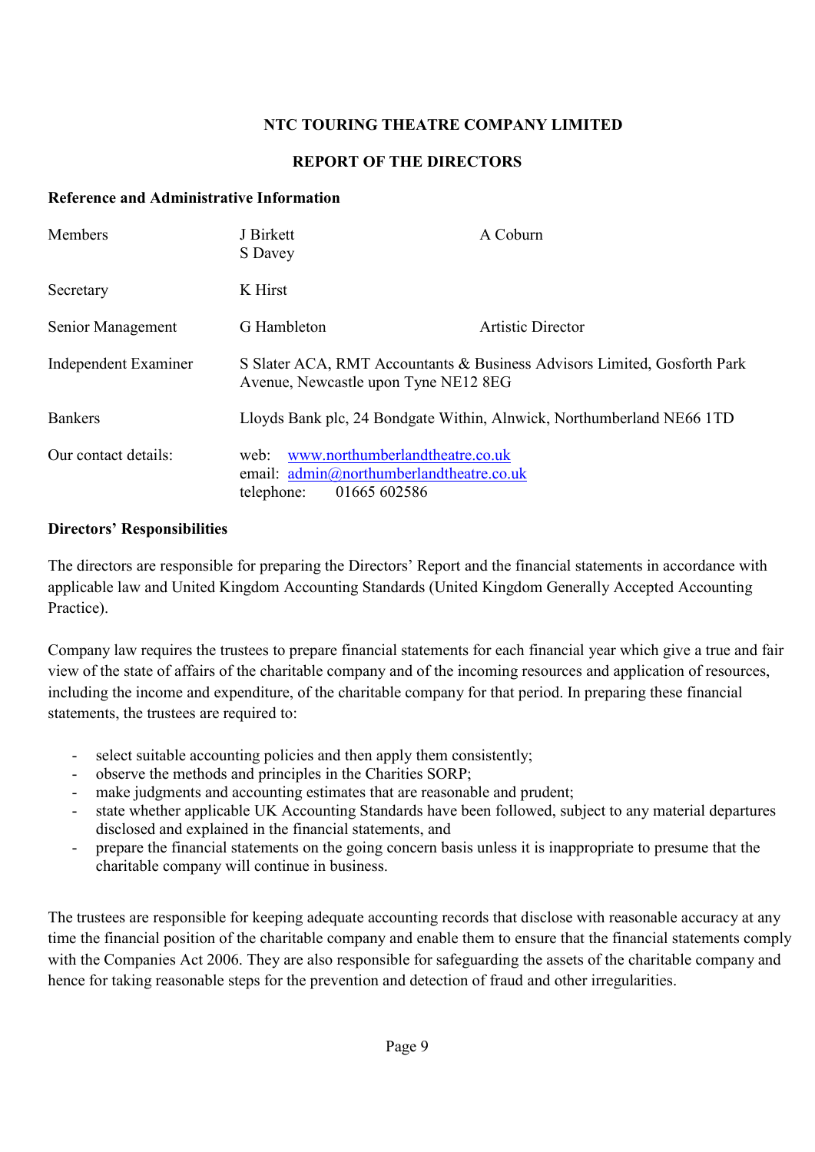## **REPORT OF THE DIRECTORS**

## **Reference and Administrative Information**

| Members              | J Birkett<br>S Davey                                                                                              | A Coburn                                                              |  |  |  |
|----------------------|-------------------------------------------------------------------------------------------------------------------|-----------------------------------------------------------------------|--|--|--|
| Secretary            | K Hirst                                                                                                           |                                                                       |  |  |  |
| Senior Management    | G Hambleton                                                                                                       | Artistic Director                                                     |  |  |  |
| Independent Examiner | S Slater ACA, RMT Accountants & Business Advisors Limited, Gosforth Park<br>Avenue, Newcastle upon Tyne NE12 8EG  |                                                                       |  |  |  |
| <b>Bankers</b>       |                                                                                                                   | Lloyds Bank plc, 24 Bondgate Within, Alnwick, Northumberland NE66 1TD |  |  |  |
| Our contact details: | www.northumberlandtheatre.co.uk<br>web:<br>email: admin@northumberlandtheatre.co.uk<br>01665 602586<br>telephone: |                                                                       |  |  |  |

## **Directors' Responsibilities**

The directors are responsible for preparing the Directors' Report and the financial statements in accordance with applicable law and United Kingdom Accounting Standards (United Kingdom Generally Accepted Accounting Practice).

Company law requires the trustees to prepare financial statements for each financial year which give a true and fair view of the state of affairs of the charitable company and of the incoming resources and application of resources, including the income and expenditure, of the charitable company for that period. In preparing these financial statements, the trustees are required to:

- select suitable accounting policies and then apply them consistently;
- observe the methods and principles in the Charities SORP;
- make judgments and accounting estimates that are reasonable and prudent;
- state whether applicable UK Accounting Standards have been followed, subject to any material departures disclosed and explained in the financial statements, and
- prepare the financial statements on the going concern basis unless it is inappropriate to presume that the charitable company will continue in business.

The trustees are responsible for keeping adequate accounting records that disclose with reasonable accuracy at any time the financial position of the charitable company and enable them to ensure that the financial statements comply with the Companies Act 2006. They are also responsible for safeguarding the assets of the charitable company and hence for taking reasonable steps for the prevention and detection of fraud and other irregularities.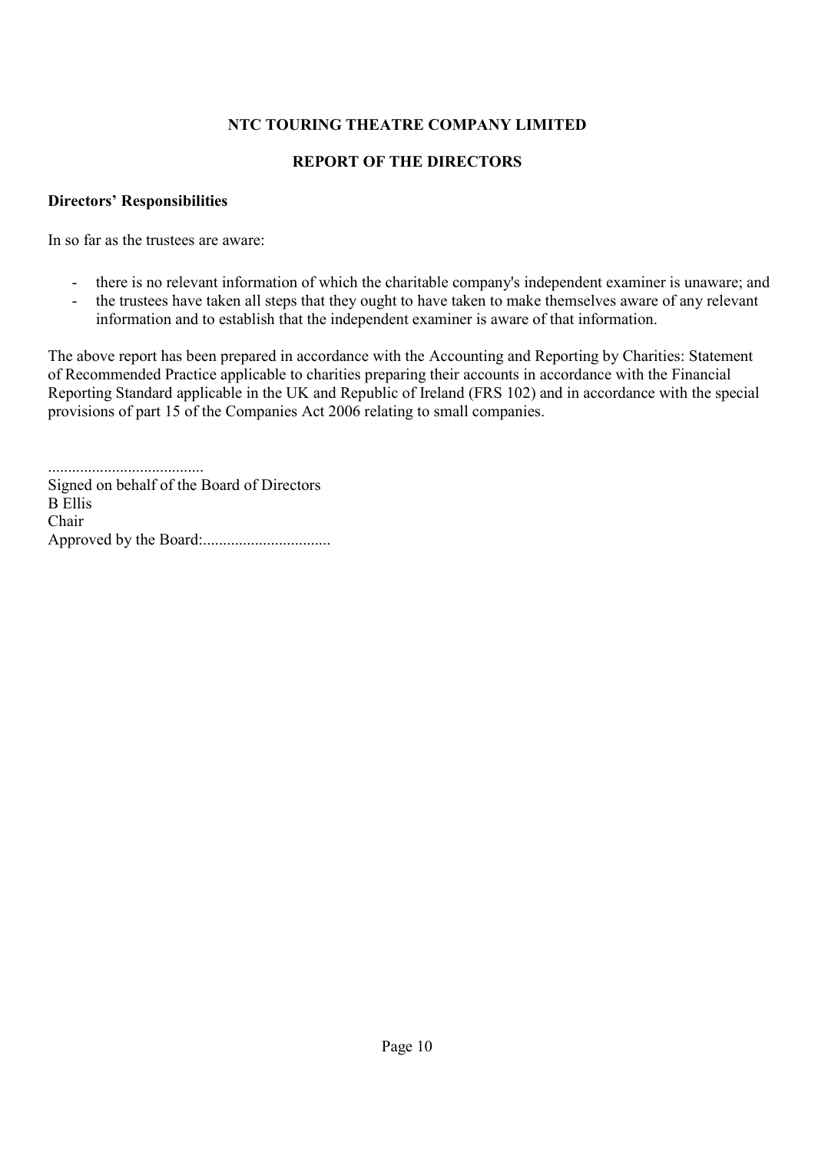## **REPORT OF THE DIRECTORS**

### **Directors' Responsibilities**

In so far as the trustees are aware:

- there is no relevant information of which the charitable company's independent examiner is unaware; and
- the trustees have taken all steps that they ought to have taken to make themselves aware of any relevant information and to establish that the independent examiner is aware of that information.

The above report has been prepared in accordance with the Accounting and Reporting by Charities: Statement of Recommended Practice applicable to charities preparing their accounts in accordance with the Financial Reporting Standard applicable in the UK and Republic of Ireland (FRS 102) and in accordance with the special provisions of part 15 of the Companies Act 2006 relating to small companies.

....................................... Signed on behalf of the Board of Directors B Ellis Chair Approved by the Board:................................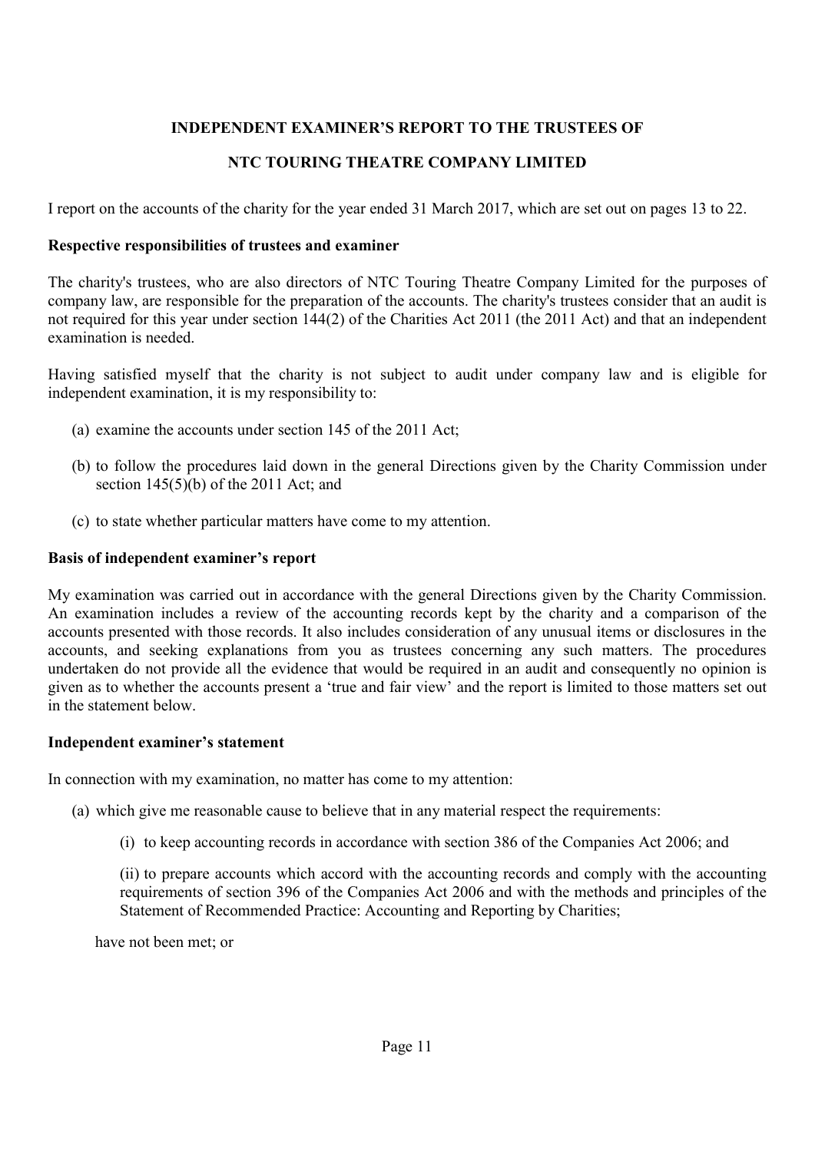## **INDEPENDENT EXAMINER'S REPORT TO THE TRUSTEES OF**

# **NTC TOURING THEATRE COMPANY LIMITED**

I report on the accounts of the charity for the year ended 31 March 2017, which are set out on pages 13 to 22.

### **Respective responsibilities of trustees and examiner**

The charity's trustees, who are also directors of NTC Touring Theatre Company Limited for the purposes of company law, are responsible for the preparation of the accounts. The charity's trustees consider that an audit is not required for this year under section 144(2) of the Charities Act 2011 (the 2011 Act) and that an independent examination is needed.

Having satisfied myself that the charity is not subject to audit under company law and is eligible for independent examination, it is my responsibility to:

- (a) examine the accounts under section 145 of the 2011 Act;
- (b) to follow the procedures laid down in the general Directions given by the Charity Commission under section 145(5)(b) of the 2011 Act; and
- (c) to state whether particular matters have come to my attention.

### **Basis of independent examiner's report**

My examination was carried out in accordance with the general Directions given by the Charity Commission. An examination includes a review of the accounting records kept by the charity and a comparison of the accounts presented with those records. It also includes consideration of any unusual items or disclosures in the accounts, and seeking explanations from you as trustees concerning any such matters. The procedures undertaken do not provide all the evidence that would be required in an audit and consequently no opinion is given as to whether the accounts present a 'true and fair view' and the report is limited to those matters set out in the statement below.

#### **Independent examiner's statement**

In connection with my examination, no matter has come to my attention:

- (a) which give me reasonable cause to believe that in any material respect the requirements:
	- (i) to keep accounting records in accordance with section 386 of the Companies Act 2006; and

(ii) to prepare accounts which accord with the accounting records and comply with the accounting requirements of section 396 of the Companies Act 2006 and with the methods and principles of the Statement of Recommended Practice: Accounting and Reporting by Charities;

have not been met; or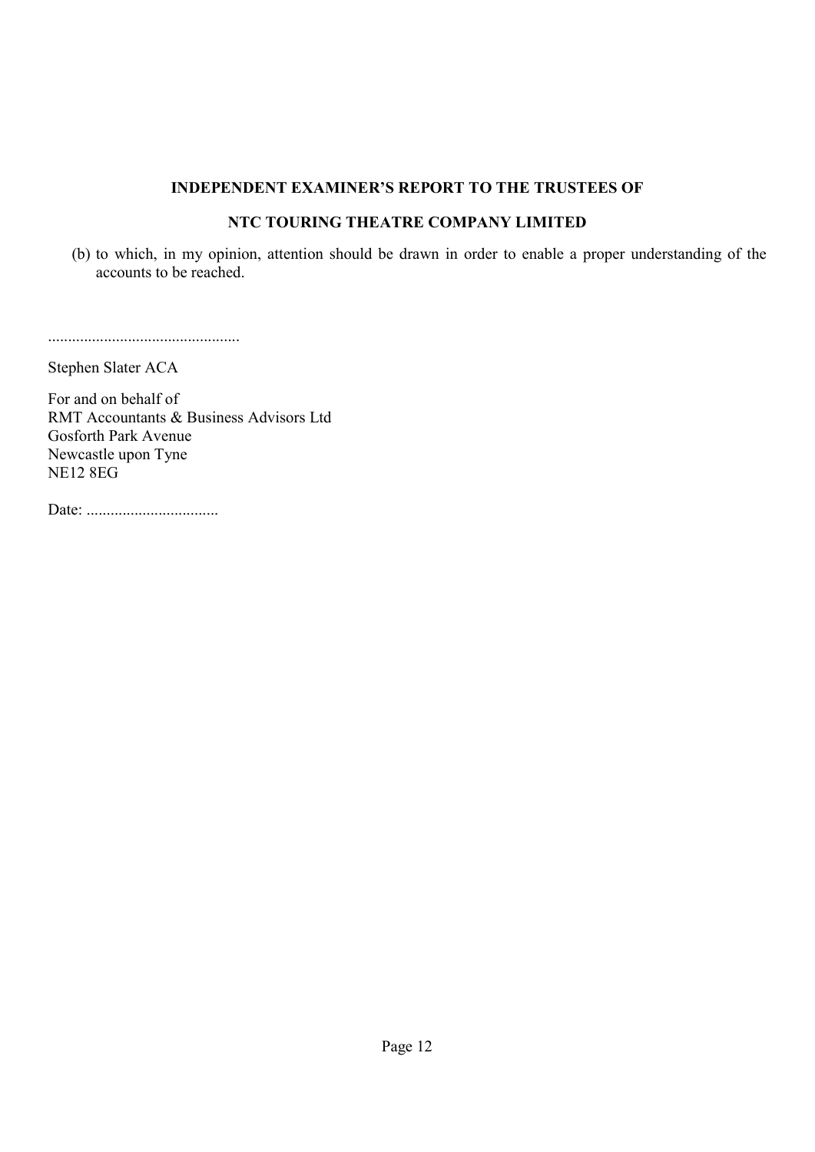### **INDEPENDENT EXAMINER'S REPORT TO THE TRUSTEES OF**

## **NTC TOURING THEATRE COMPANY LIMITED**

(b) to which, in my opinion, attention should be drawn in order to enable a proper understanding of the accounts to be reached.

................................................

Stephen Slater ACA

For and on behalf of RMT Accountants & Business Advisors Ltd Gosforth Park Avenue Newcastle upon Tyne NE12 8EG

Date: .................................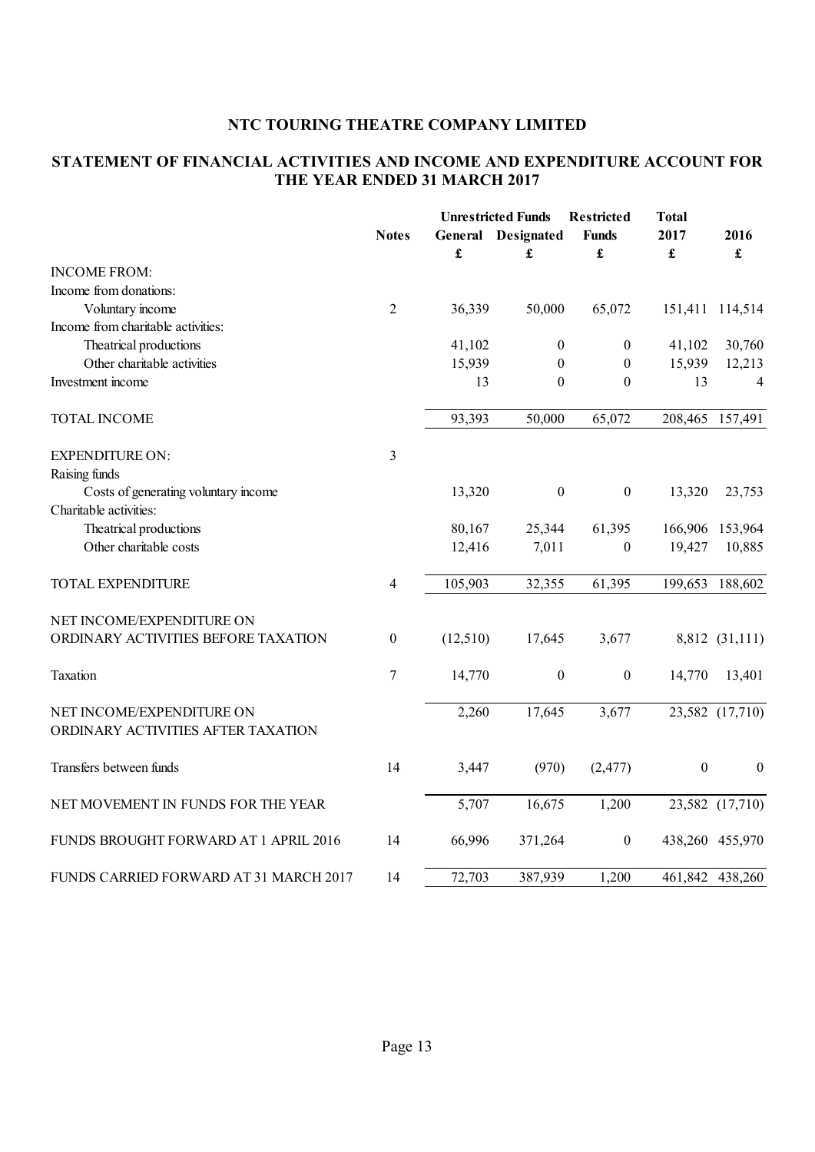## **STATEMENT OF FINANCIAL ACTIVITIES AND INCOME AND EXPENDITURE ACCOUNT FOR THE YEAR ENDED 31 MARCH 2017**

|                                        | <b>Notes</b>     |          | <b>Unrestricted Funds</b><br><b>General</b> Designated | Restricted<br><b>Funds</b> | <b>Total</b><br>2017 | 2016             |
|----------------------------------------|------------------|----------|--------------------------------------------------------|----------------------------|----------------------|------------------|
|                                        |                  | £        | £                                                      | £                          | £                    | £                |
| <b>INCOME FROM:</b>                    |                  |          |                                                        |                            |                      |                  |
| Income from donations:                 |                  |          |                                                        |                            |                      |                  |
| Voluntary income                       | $\overline{2}$   | 36,339   | 50,000                                                 | 65,072                     | 151,411              | 114,514          |
| Income from charitable activities:     |                  |          |                                                        |                            |                      |                  |
| Theatrical productions                 |                  | 41,102   | $\boldsymbol{0}$                                       | $\boldsymbol{0}$           | 41,102               | 30,760           |
| Other charitable activities            |                  | 15,939   | $\boldsymbol{0}$                                       | $\boldsymbol{0}$           | 15,939               | 12,213           |
| Investment income                      |                  | 13       | $\boldsymbol{0}$                                       | $\boldsymbol{0}$           | 13                   | $\overline{4}$   |
| <b>TOTAL INCOME</b>                    |                  | 93,393   | 50,000                                                 | 65,072                     | 208,465              | 157,491          |
| <b>EXPENDITURE ON:</b>                 | 3                |          |                                                        |                            |                      |                  |
| Raising funds                          |                  |          |                                                        |                            |                      |                  |
| Costs of generating voluntary income   |                  | 13,320   | $\boldsymbol{0}$                                       | $\boldsymbol{0}$           | 13,320               | 23,753           |
| Charitable activities:                 |                  |          |                                                        |                            |                      |                  |
| Theatrical productions                 |                  | 80,167   | 25,344                                                 | 61,395                     | 166,906              | 153,964          |
| Other charitable costs                 |                  | 12,416   | 7,011                                                  | $\boldsymbol{0}$           | 19,427               | 10,885           |
| TOTAL EXPENDITURE                      | 4                | 105,903  | 32,355                                                 | 61,395                     | 199,653              | 188,602          |
| NET INCOME/EXPENDITURE ON              |                  |          |                                                        |                            |                      |                  |
| ORDINARY ACTIVITIES BEFORE TAXATION    | $\boldsymbol{0}$ | (12,510) | 17,645                                                 | 3,677                      |                      | 8,812 (31,111)   |
| Taxation                               | $\boldsymbol{7}$ | 14,770   | $\boldsymbol{0}$                                       | $\boldsymbol{0}$           | 14,770               | 13,401           |
| NET INCOME/EXPENDITURE ON              |                  | 2,260    | 17,645                                                 | 3,677                      |                      | 23,582 (17,710)  |
| ORDINARY ACTIVITIES AFTER TAXATION     |                  |          |                                                        |                            |                      |                  |
| Transfers between funds                | 14               | 3,447    | (970)                                                  | (2, 477)                   | $\boldsymbol{0}$     | $\boldsymbol{0}$ |
| NET MOVEMENT IN FUNDS FOR THE YEAR     |                  | 5,707    | 16,675                                                 | 1,200                      |                      | 23,582 (17,710)  |
| FUNDS BROUGHT FORWARD AT 1 APRIL 2016  | 14               | 66,996   | 371,264                                                | $\boldsymbol{0}$           |                      | 438,260 455,970  |
| FUNDS CARRIED FORWARD AT 31 MARCH 2017 | 14               | 72,703   | 387,939                                                | 1,200                      |                      | 461,842 438,260  |
|                                        |                  |          |                                                        |                            |                      |                  |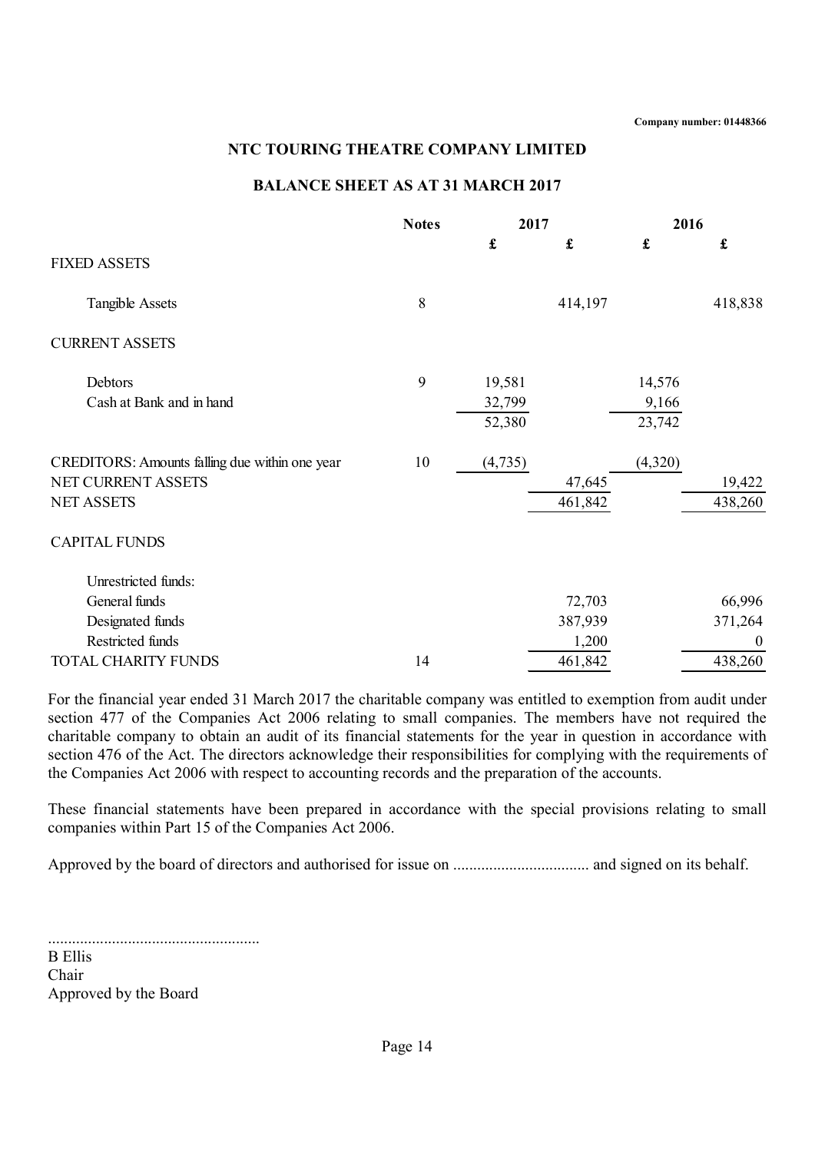#### **BALANCE SHEET AS AT 31 MARCH 2017**

|                                                | <b>Notes</b> | 2017                 |         | 2016            |                  |
|------------------------------------------------|--------------|----------------------|---------|-----------------|------------------|
| <b>FIXED ASSETS</b>                            |              | $\pmb{\mathfrak{L}}$ | £       | £               | £                |
| <b>Tangible Assets</b>                         | 8            |                      | 414,197 |                 | 418,838          |
| <b>CURRENT ASSETS</b>                          |              |                      |         |                 |                  |
| Debtors                                        | 9            | 19,581               |         | 14,576          |                  |
| Cash at Bank and in hand                       |              | 32,799<br>52,380     |         | 9,166<br>23,742 |                  |
| CREDITORS: Amounts falling due within one year | 10           | (4, 735)             |         | (4,320)         |                  |
| NET CURRENT ASSETS                             |              |                      | 47,645  |                 | 19,422           |
| <b>NET ASSETS</b>                              |              |                      | 461,842 |                 | 438,260          |
| <b>CAPITAL FUNDS</b>                           |              |                      |         |                 |                  |
| Unrestricted funds:                            |              |                      |         |                 |                  |
| General funds                                  |              |                      | 72,703  |                 | 66,996           |
| Designated funds                               |              |                      | 387,939 |                 | 371,264          |
| Restricted funds                               |              |                      | 1,200   |                 | $\boldsymbol{0}$ |
| TOTAL CHARITY FUNDS                            | 14           |                      | 461,842 |                 | 438,260          |

For the financial year ended 31 March 2017 the charitable company was entitled to exemption from audit under section 477 of the Companies Act 2006 relating to small companies. The members have not required the charitable company to obtain an audit of its financial statements for the year in question in accordance with section 476 of the Act. The directors acknowledge their responsibilities for complying with the requirements of the Companies Act 2006 with respect to accounting records and the preparation of the accounts.

These financial statements have been prepared in accordance with the special provisions relating to small companies within Part 15 of the Companies Act 2006.

Approved by the board of directors and authorised for issue on .................................. and signed on its behalf.

.....................................................

B Ellis Chair Approved by the Board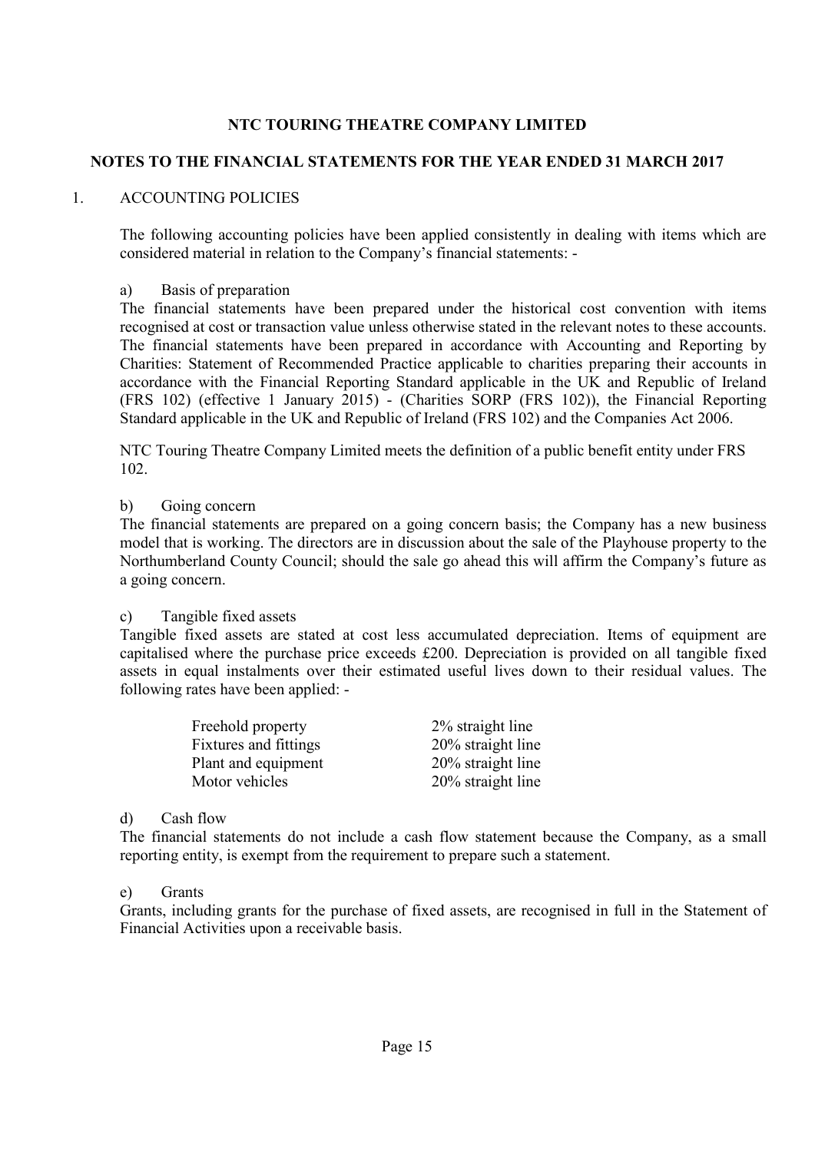## **NOTES TO THE FINANCIAL STATEMENTS FOR THE YEAR ENDED 31 MARCH 2017**

### 1. ACCOUNTING POLICIES

The following accounting policies have been applied consistently in dealing with items which are considered material in relation to the Company's financial statements: -

#### a) Basis of preparation

The financial statements have been prepared under the historical cost convention with items recognised at cost or transaction value unless otherwise stated in the relevant notes to these accounts. The financial statements have been prepared in accordance with Accounting and Reporting by Charities: Statement of Recommended Practice applicable to charities preparing their accounts in accordance with the Financial Reporting Standard applicable in the UK and Republic of Ireland (FRS 102) (effective 1 January 2015) - (Charities SORP (FRS 102)), the Financial Reporting Standard applicable in the UK and Republic of Ireland (FRS 102) and the Companies Act 2006.

NTC Touring Theatre Company Limited meets the definition of a public benefit entity under FRS 102.

#### b) Going concern

The financial statements are prepared on a going concern basis; the Company has a new business model that is working. The directors are in discussion about the sale of the Playhouse property to the Northumberland County Council; should the sale go ahead this will affirm the Company's future as a going concern.

#### c) Tangible fixed assets

Tangible fixed assets are stated at cost less accumulated depreciation. Items of equipment are capitalised where the purchase price exceeds £200. Depreciation is provided on all tangible fixed assets in equal instalments over their estimated useful lives down to their residual values. The following rates have been applied: -

| Freehold property            | 2% straight line  |
|------------------------------|-------------------|
| <b>Fixtures and fittings</b> | 20% straight line |
| Plant and equipment          | 20% straight line |
| Motor vehicles               | 20% straight line |

#### d) Cash flow

The financial statements do not include a cash flow statement because the Company, as a small reporting entity, is exempt from the requirement to prepare such a statement.

#### e) Grants

Grants, including grants for the purchase of fixed assets, are recognised in full in the Statement of Financial Activities upon a receivable basis.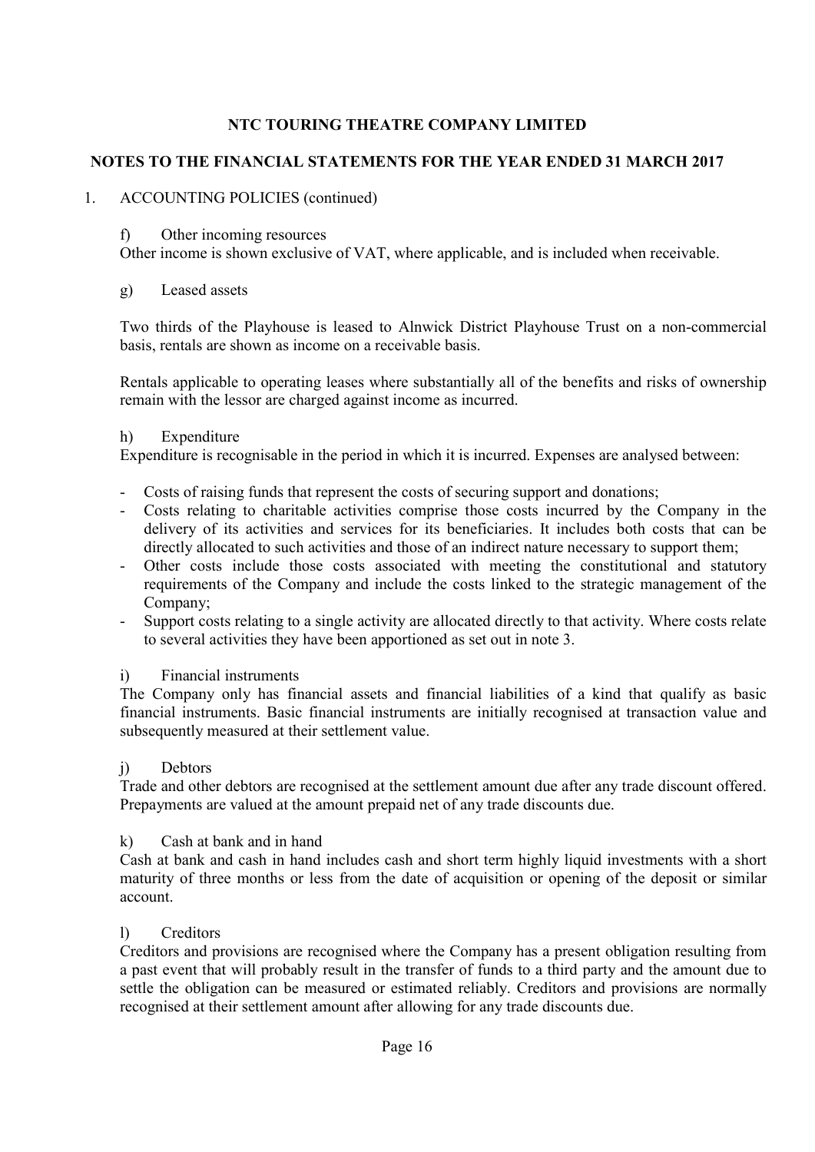## **NOTES TO THE FINANCIAL STATEMENTS FOR THE YEAR ENDED 31 MARCH 2017**

### 1. ACCOUNTING POLICIES (continued)

#### f) Other incoming resources

Other income is shown exclusive of VAT, where applicable, and is included when receivable.

### g) Leased assets

Two thirds of the Playhouse is leased to Alnwick District Playhouse Trust on a non-commercial basis, rentals are shown as income on a receivable basis.

Rentals applicable to operating leases where substantially all of the benefits and risks of ownership remain with the lessor are charged against income as incurred.

#### h) Expenditure

Expenditure is recognisable in the period in which it is incurred. Expenses are analysed between:

- Costs of raising funds that represent the costs of securing support and donations;
- Costs relating to charitable activities comprise those costs incurred by the Company in the delivery of its activities and services for its beneficiaries. It includes both costs that can be directly allocated to such activities and those of an indirect nature necessary to support them;
- Other costs include those costs associated with meeting the constitutional and statutory requirements of the Company and include the costs linked to the strategic management of the Company;
- Support costs relating to a single activity are allocated directly to that activity. Where costs relate to several activities they have been apportioned as set out in note 3.

## i) Financial instruments

The Company only has financial assets and financial liabilities of a kind that qualify as basic financial instruments. Basic financial instruments are initially recognised at transaction value and subsequently measured at their settlement value.

#### j) Debtors

Trade and other debtors are recognised at the settlement amount due after any trade discount offered. Prepayments are valued at the amount prepaid net of any trade discounts due.

## k) Cash at bank and in hand

Cash at bank and cash in hand includes cash and short term highly liquid investments with a short maturity of three months or less from the date of acquisition or opening of the deposit or similar account.

#### l) Creditors

Creditors and provisions are recognised where the Company has a present obligation resulting from a past event that will probably result in the transfer of funds to a third party and the amount due to settle the obligation can be measured or estimated reliably. Creditors and provisions are normally recognised at their settlement amount after allowing for any trade discounts due.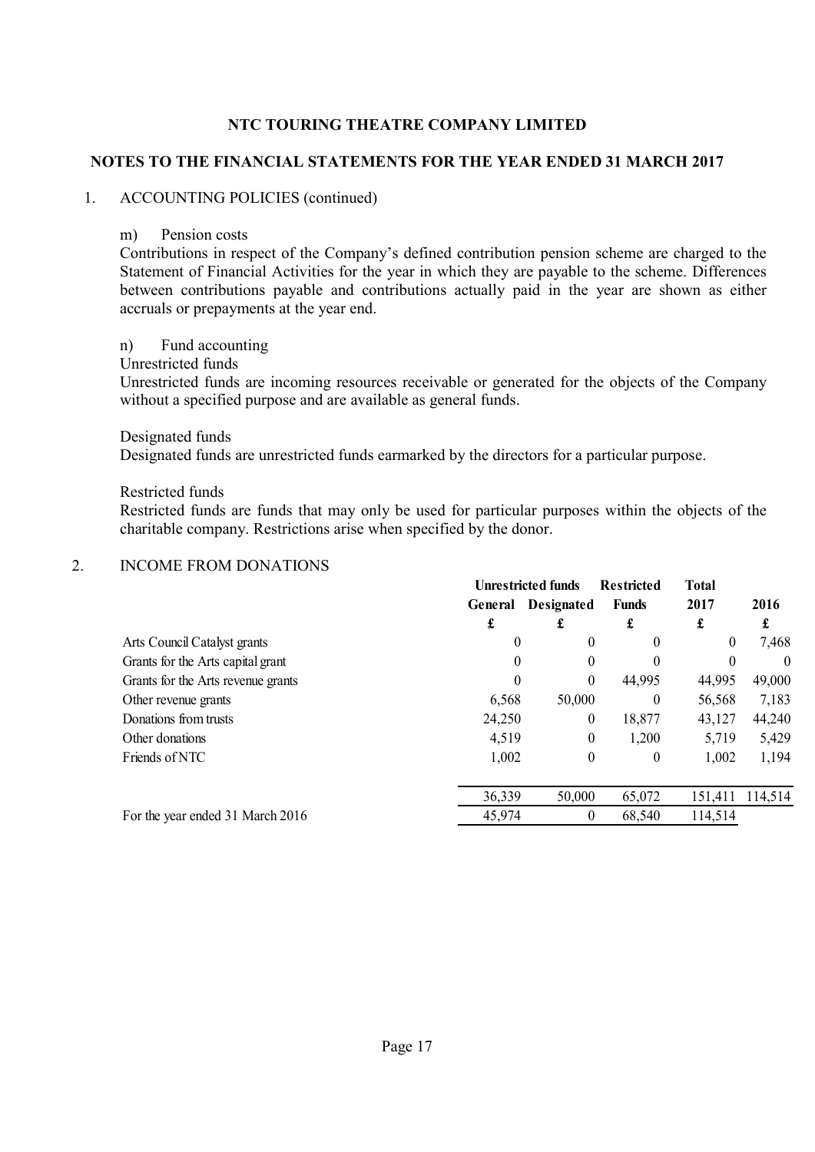### **NOTES TO THE FINANCIAL STATEMENTS FOR THE YEAR ENDED 31 MARCH 2017**

#### 1. ACCOUNTING POLICIES (continued)

#### m) Pension costs

Contributions in respect of the Company's defined contribution pension scheme are charged to the Statement of Financial Activities for the year in which they are payable to the scheme. Differences between contributions payable and contributions actually paid in the year are shown as either accruals or prepayments at the year end.

#### n) Fund accounting

#### Unrestricted funds

Unrestricted funds are incoming resources receivable or generated for the objects of the Company without a specified purpose and are available as general funds.

#### Designated funds

Designated funds are unrestricted funds earmarked by the directors for a particular purpose.

#### Restricted funds

Restricted funds are funds that may only be used for particular purposes within the objects of the charitable company. Restrictions arise when specified by the donor.

#### 2. INCOME FROM DONATIONS

|                                    |         | <b>Unrestricted funds</b><br><b>Restricted</b> |              | <b>Total</b> |          |  |
|------------------------------------|---------|------------------------------------------------|--------------|--------------|----------|--|
|                                    | General | <b>Designated</b>                              | <b>Funds</b> | 2017         | 2016     |  |
|                                    | £       | ı                                              | £            | £            | £        |  |
| Arts Council Catalyst grants       | 0       | 0                                              | $\theta$     | $\theta$     | 7,468    |  |
| Grants for the Arts capital grant  | 0       | 0                                              | $\theta$     | $\theta$     | $\theta$ |  |
| Grants for the Arts revenue grants | 0       | 0                                              | 44,995       | 44,995       | 49,000   |  |
| Other revenue grants               | 6,568   | 50,000                                         | $\theta$     | 56,568       | 7,183    |  |
| Donations from trusts              | 24,250  | 0                                              | 18,877       | 43,127       | 44,240   |  |
| Other donations                    | 4,519   | 0                                              | 1,200        | 5,719        | 5,429    |  |
| Friends of NTC                     | 1,002   | $\boldsymbol{0}$                               | $\theta$     | 1,002        | 1,194    |  |
|                                    | 36,339  | 50,000                                         | 65,072       | 151,411      | 114,514  |  |
| For the year ended 31 March 2016   | 45,974  | 0                                              | 68,540       | 114,514      |          |  |
|                                    |         |                                                |              |              |          |  |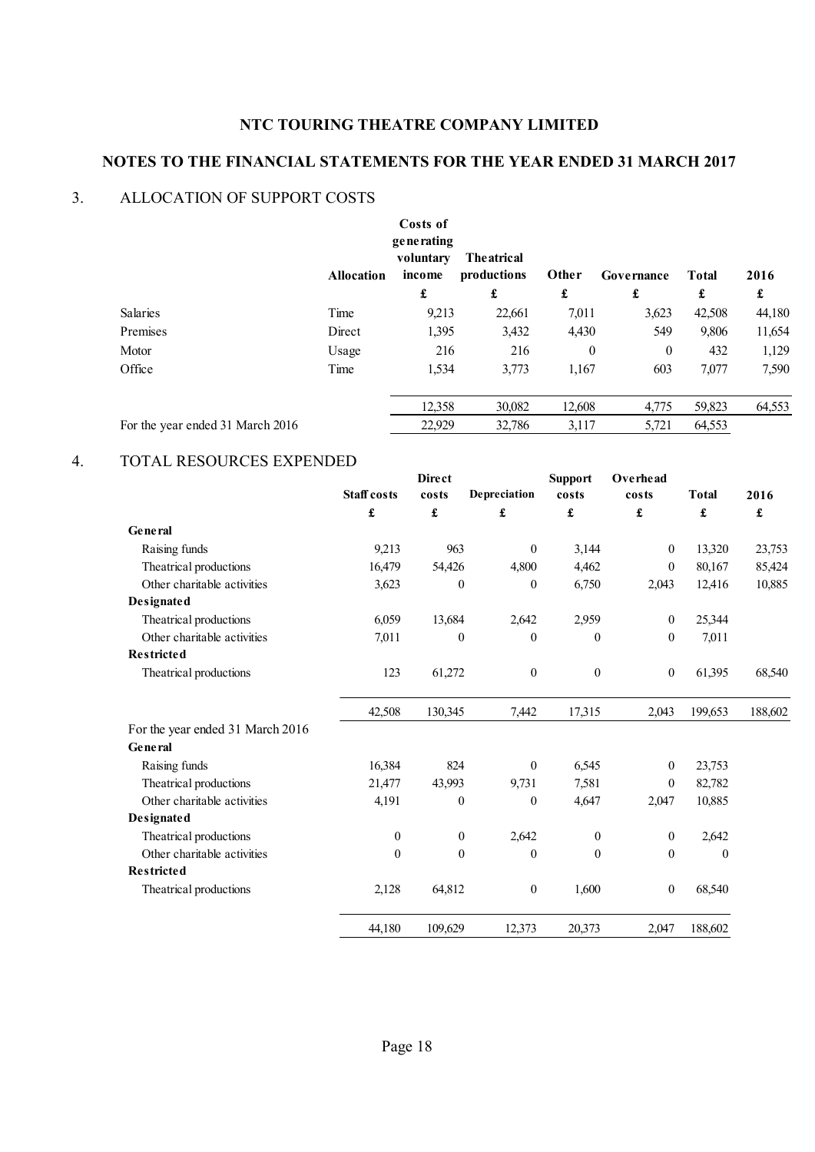# **NOTES TO THE FINANCIAL STATEMENTS FOR THE YEAR ENDED 31 MARCH 2017**

### 3. ALLOCATION OF SUPPORT COSTS

|                                  | <b>Allocation</b> | Costs of<br>generating<br>voluntary<br>income | <b>The atrical</b><br>productions | Other    | Governance | <b>Total</b> | 2016   |
|----------------------------------|-------------------|-----------------------------------------------|-----------------------------------|----------|------------|--------------|--------|
|                                  |                   | £                                             | £                                 | £        | £          | £            | £      |
| Salaries                         | Time              | 9,213                                         | 22,661                            | 7,011    | 3,623      | 42,508       | 44,180 |
| Premises                         | Direct            | 1,395                                         | 3,432                             | 4,430    | 549        | 9,806        | 11,654 |
| Motor                            | Usage             | 216                                           | 216                               | $\theta$ | $\theta$   | 432          | 1,129  |
| Office                           | Time              | 1,534                                         | 3,773                             | 1,167    | 603        | 7,077        | 7,590  |
|                                  |                   | 12,358                                        | 30,082                            | 12,608   | 4,775      | 59,823       | 64,553 |
| For the year ended 31 March 2016 |                   | 22,929                                        | 32,786                            | 3,117    | 5,721      | 64,553       |        |

#### 4. TOTAL RESOURCES EXPENDED

|                                  |                    | <b>Direct</b>        |                  | <b>Support</b>       | Overhead             |                      |         |
|----------------------------------|--------------------|----------------------|------------------|----------------------|----------------------|----------------------|---------|
|                                  | <b>Staff</b> costs | costs                | Depreciation     | costs                | costs                | <b>Total</b>         | 2016    |
|                                  | £                  | $\pmb{\mathfrak{L}}$ | £                | $\pmb{\mathfrak{L}}$ | $\pmb{\mathfrak{L}}$ | $\pmb{\mathfrak{L}}$ | £       |
| General                          |                    |                      |                  |                      |                      |                      |         |
| Raising funds                    | 9,213              | 963                  | $\mathbf{0}$     | 3,144                | $\boldsymbol{0}$     | 13,320               | 23,753  |
| Theatrical productions           | 16,479             | 54,426               | 4,800            | 4,462                | $\boldsymbol{0}$     | 80,167               | 85,424  |
| Other charitable activities      | 3,623              | $\mathbf{0}$         | $\theta$         | 6,750                | 2,043                | 12,416               | 10,885  |
| Designated                       |                    |                      |                  |                      |                      |                      |         |
| Theatrical productions           | 6,059              | 13,684               | 2,642            | 2,959                | $\boldsymbol{0}$     | 25,344               |         |
| Other charitable activities      | 7,011              | $\boldsymbol{0}$     | $\boldsymbol{0}$ | $\mathbf{0}$         | $\boldsymbol{0}$     | 7,011                |         |
| <b>Restricted</b>                |                    |                      |                  |                      |                      |                      |         |
| Theatrical productions           | 123                | 61,272               | $\boldsymbol{0}$ | $\boldsymbol{0}$     | $\boldsymbol{0}$     | 61,395               | 68,540  |
|                                  | 42,508             | 130,345              | 7,442            | 17,315               | 2,043                | 199,653              | 188,602 |
| For the year ended 31 March 2016 |                    |                      |                  |                      |                      |                      |         |
| General                          |                    |                      |                  |                      |                      |                      |         |
| Raising funds                    | 16,384             | 824                  | $\overline{0}$   | 6,545                | $\boldsymbol{0}$     | 23,753               |         |
| Theatrical productions           | 21,477             | 43,993               | 9,731            | 7,581                | $\mathbf{0}$         | 82,782               |         |
| Other charitable activities      | 4,191              | $\boldsymbol{0}$     | $\theta$         | 4,647                | 2,047                | 10,885               |         |
| Designated                       |                    |                      |                  |                      |                      |                      |         |
| Theatrical productions           | $\boldsymbol{0}$   | $\boldsymbol{0}$     | 2,642            | $\boldsymbol{0}$     | $\boldsymbol{0}$     | 2,642                |         |
| Other charitable activities      | $\mathbf{0}$       | $\mathbf{0}$         | $\theta$         | $\mathbf{0}$         | $\boldsymbol{0}$     | $\theta$             |         |
| <b>Restricted</b>                |                    |                      |                  |                      |                      |                      |         |
| Theatrical productions           | 2,128              | 64,812               | $\boldsymbol{0}$ | 1,600                | $\boldsymbol{0}$     | 68,540               |         |
|                                  | 44,180             | 109,629              | 12,373           | 20,373               | 2,047                | 188,602              |         |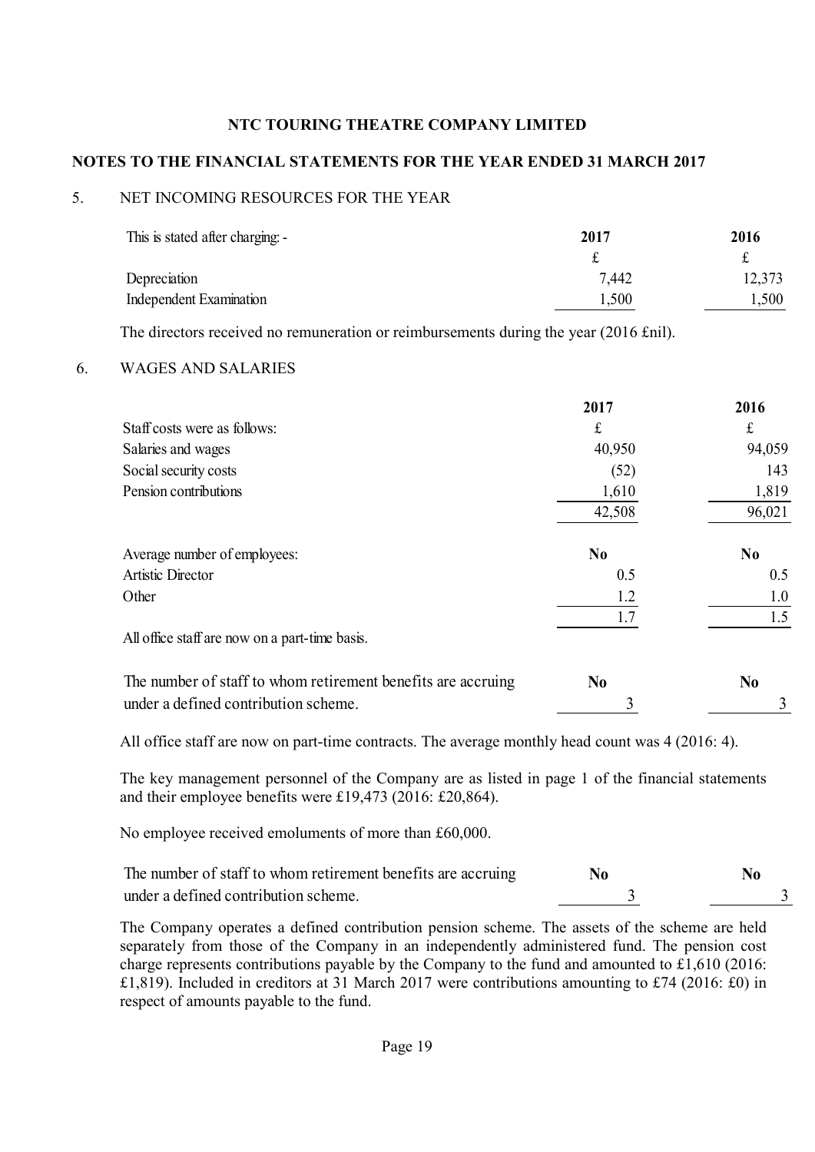## **NOTES TO THE FINANCIAL STATEMENTS FOR THE YEAR ENDED 31 MARCH 2017**

## 5. NET INCOMING RESOURCES FOR THE YEAR

| This is stated after charging: - | 2017  | 2016   |
|----------------------------------|-------|--------|
|                                  |       |        |
| Depreciation                     | 7,442 | 12,373 |
| Independent Examination          | 1,500 | 1,500  |

The directors received no remuneration or reimbursements during the year (2016 £nil).

### 6. WAGES AND SALARIES

|                                                              | 2017           | 2016           |
|--------------------------------------------------------------|----------------|----------------|
| Staff costs were as follows:                                 | £              | £              |
| Salaries and wages                                           | 40,950         | 94,059         |
| Social security costs                                        | (52)           | 143            |
| Pension contributions                                        | 1,610          | 1,819          |
|                                                              | 42,508         | 96,021         |
| Average number of employees:                                 | N <sub>0</sub> | N <sub>0</sub> |
| Artistic Director                                            | 0.5            | 0.5            |
| Other                                                        | 1.2            | 1.0            |
|                                                              | 1.7            | 1.5            |
| All office staff are now on a part-time basis.               |                |                |
| The number of staff to whom retirement benefits are accruing | N <sub>0</sub> | N <sub>0</sub> |
| under a defined contribution scheme.                         | 3              |                |

All office staff are now on part-time contracts. The average monthly head count was 4 (2016: 4).

The key management personnel of the Company are as listed in page 1 of the financial statements and their employee benefits were £19,473 (2016: £20,864).

No employee received emoluments of more than £60,000.

The number of staff to whom retirement benefits are accruing **No** No under a defined contribution scheme. 3 3

The Company operates a defined contribution pension scheme. The assets of the scheme are held separately from those of the Company in an independently administered fund. The pension cost charge represents contributions payable by the Company to the fund and amounted to £1,610 (2016: £1,819). Included in creditors at 31 March 2017 were contributions amounting to £74 (2016: £0) in respect of amounts payable to the fund.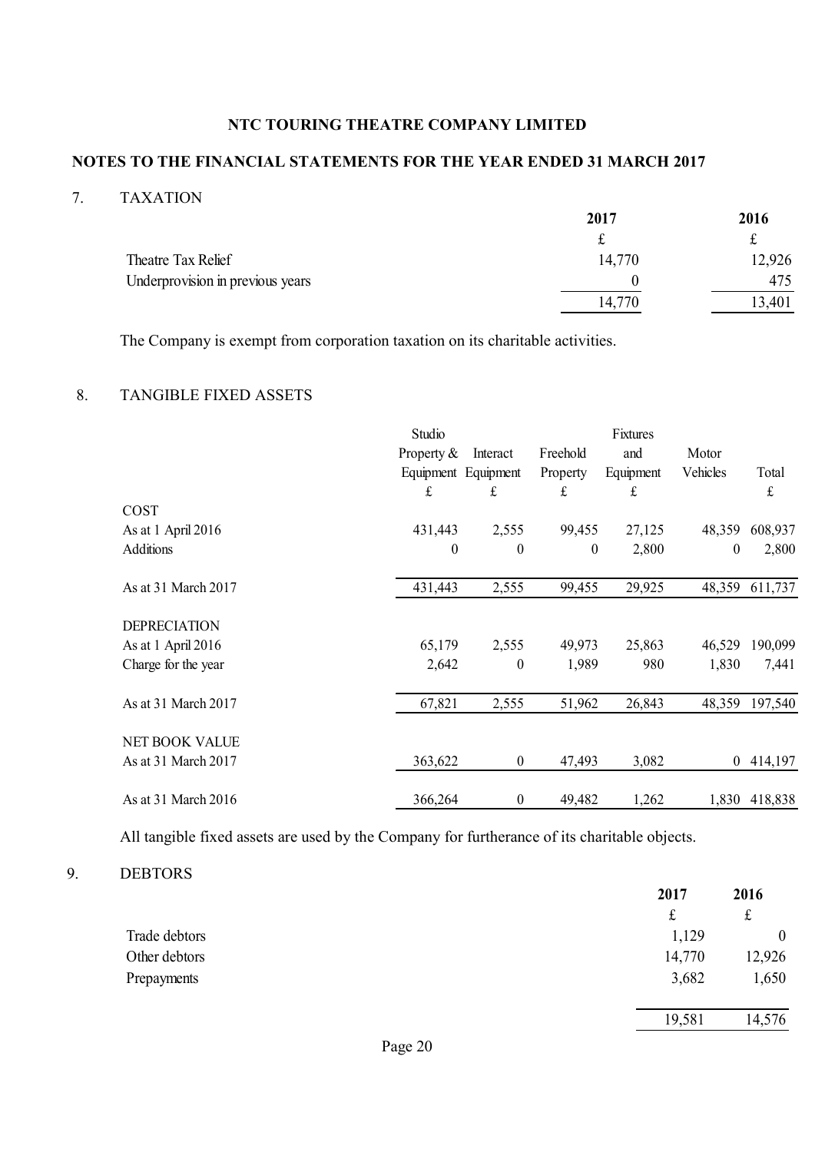## **NOTES TO THE FINANCIAL STATEMENTS FOR THE YEAR ENDED 31 MARCH 2017**

### 7. TAXATION

|                                  | 2017   | 2016   |
|----------------------------------|--------|--------|
|                                  |        | f      |
| Theatre Tax Relief               | 14,770 | 12,926 |
| Underprovision in previous years |        | 475    |
|                                  | 14,770 | 13,401 |

The Company is exempt from corporation taxation on its charitable activities.

## 8. TANGIBLE FIXED ASSETS

|                       | Studio              |                  |                  | Fixtures  |                |               |
|-----------------------|---------------------|------------------|------------------|-----------|----------------|---------------|
|                       | Property $&$        | Interact         | Freehold         | and       | Motor          |               |
|                       | Equipment Equipment |                  | Property         | Equipment | Vehicles       | Total         |
|                       | £                   | £                | £                | £         |                | £             |
| COST                  |                     |                  |                  |           |                |               |
| As at 1 April 2016    | 431,443             | 2,555            | 99,455           | 27,125    | 48,359         | 608,937       |
| <b>Additions</b>      | $\theta$            | $\boldsymbol{0}$ | $\boldsymbol{0}$ | 2,800     | $\mathbf{0}$   | 2,800         |
| As at 31 March 2017   | 431,443             | 2,555            | 99,455           | 29,925    | 48,359         | 611,737       |
| <b>DEPRECIATION</b>   |                     |                  |                  |           |                |               |
| As at 1 April 2016    | 65,179              | 2,555            | 49,973           | 25,863    | 46,529         | 190,099       |
| Charge for the year   | 2,642               | $\boldsymbol{0}$ | 1,989            | 980       | 1,830          | 7,441         |
| As at 31 March 2017   | 67,821              | 2,555            | 51,962           | 26,843    | 48,359         | 197,540       |
| <b>NET BOOK VALUE</b> |                     |                  |                  |           |                |               |
| As at 31 March 2017   | 363,622             | $\boldsymbol{0}$ | 47,493           | 3,082     | $\overline{0}$ | 414,197       |
| As at 31 March 2016   | 366,264             | $\boldsymbol{0}$ | 49,482           | 1,262     |                | 1,830 418,838 |

All tangible fixed assets are used by the Company for furtherance of its charitable objects.

#### 9. DEBTORS

|               | 2017   | 2016             |
|---------------|--------|------------------|
|               | t      | £                |
| Trade debtors | 1,129  | $\boldsymbol{0}$ |
| Other debtors | 14,770 | 12,926           |
| Prepayments   | 3,682  | 1,650            |
|               | 19,581 | 14,576           |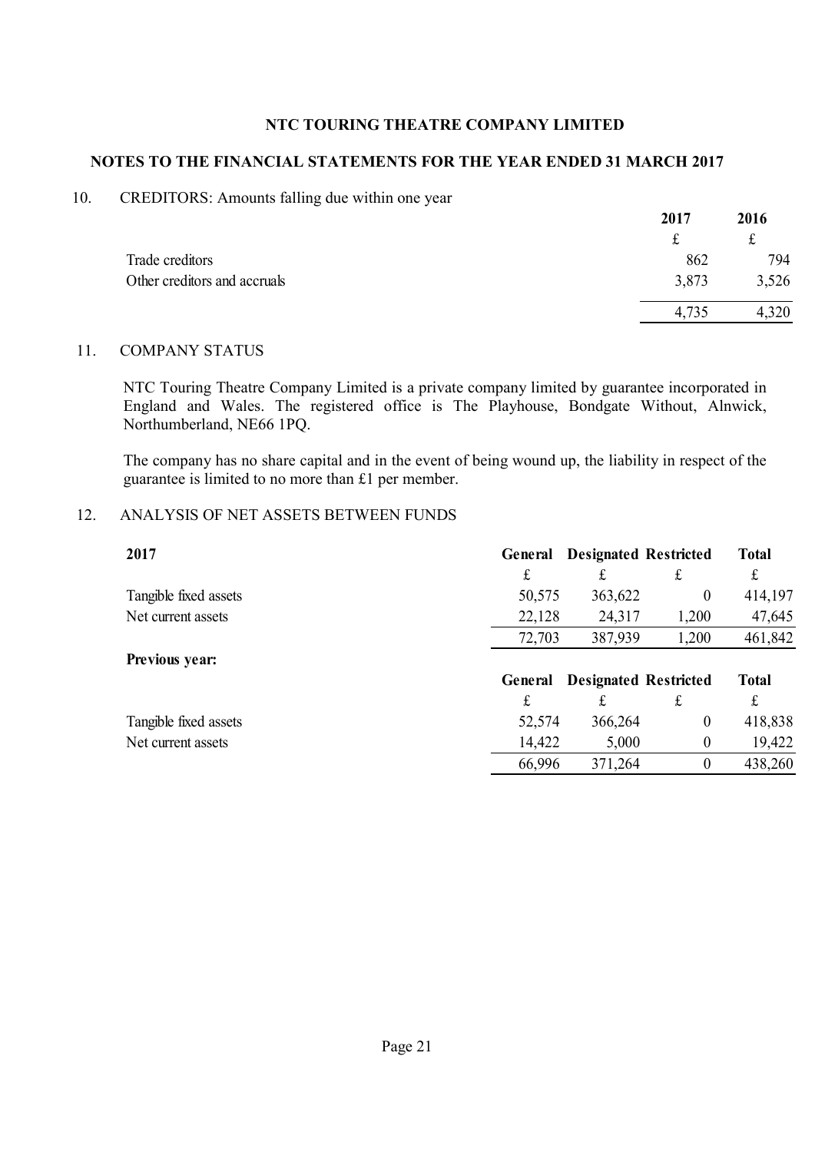#### **NOTES TO THE FINANCIAL STATEMENTS FOR THE YEAR ENDED 31 MARCH 2017**

#### 10. CREDITORS: Amounts falling due within one year

|                              | 2017  | 2016   |
|------------------------------|-------|--------|
|                              |       | $\sim$ |
| Trade creditors              | 862   | 794    |
| Other creditors and accruals | 3,873 | 3,526  |
|                              | 4,735 | 4,320  |

#### 11. COMPANY STATUS

NTC Touring Theatre Company Limited is a private company limited by guarantee incorporated in England and Wales. The registered office is The Playhouse, Bondgate Without, Alnwick, Northumberland, NE66 1PQ.

The company has no share capital and in the event of being wound up, the liability in respect of the guarantee is limited to no more than £1 per member.

#### 12. ANALYSIS OF NET ASSETS BETWEEN FUNDS

| 2017                  | General | <b>Designated Restricted</b> |          | <b>Total</b> |
|-----------------------|---------|------------------------------|----------|--------------|
|                       | £       | £                            | £        | £            |
| Tangible fixed assets | 50,575  | 363,622                      | $\theta$ | 414,197      |
| Net current assets    | 22,128  | 24,317                       | 1,200    | 47,645       |
|                       | 72,703  | 387,939                      | 1,200    | 461,842      |
| Previous year:        |         |                              |          |              |
|                       | General | <b>Designated Restricted</b> |          | <b>Total</b> |
|                       | £       | £                            | £        | £            |
| Tangible fixed assets | 52,574  | 366,264                      | $\theta$ | 418,838      |
| Net current assets    | 14,422  | 5,000                        | $\theta$ | 19,422       |
|                       | 66,996  | 371,264                      | $\theta$ | 438,260      |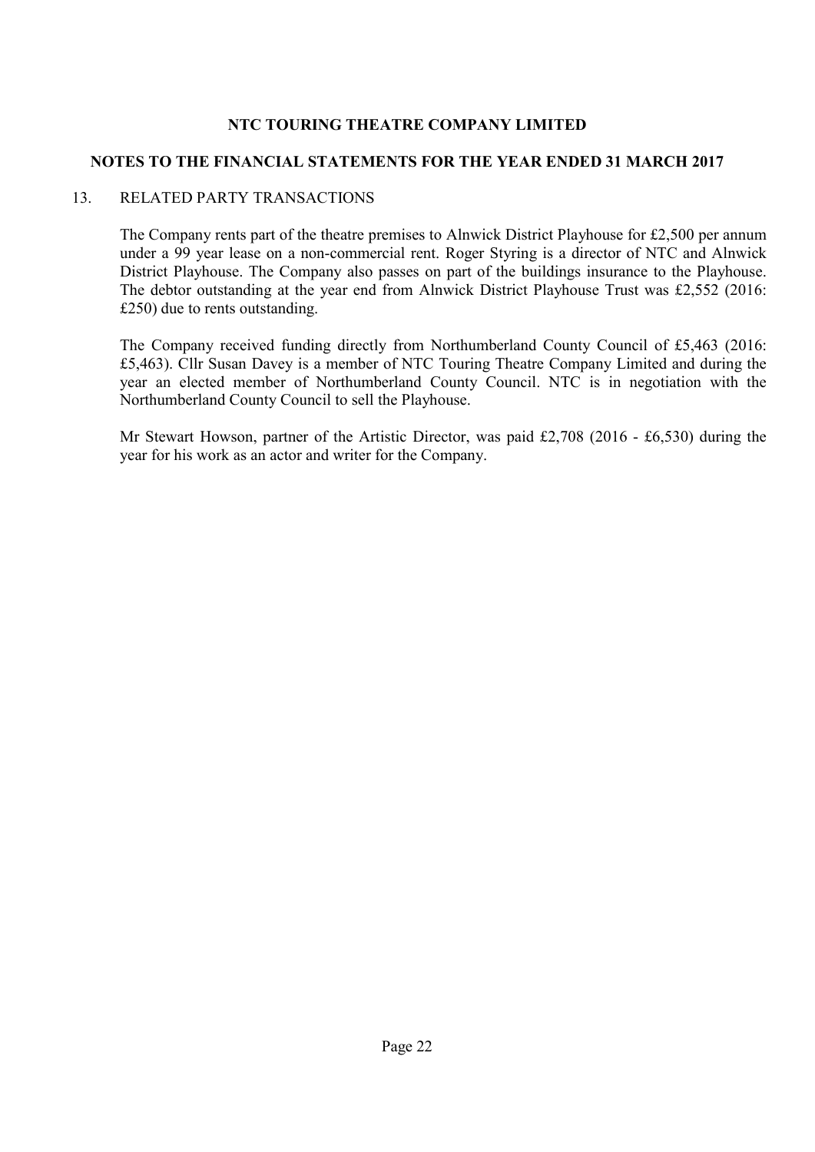### **NOTES TO THE FINANCIAL STATEMENTS FOR THE YEAR ENDED 31 MARCH 2017**

### 13. RELATED PARTY TRANSACTIONS

The Company rents part of the theatre premises to Alnwick District Playhouse for £2,500 per annum under a 99 year lease on a non-commercial rent. Roger Styring is a director of NTC and Alnwick District Playhouse. The Company also passes on part of the buildings insurance to the Playhouse. The debtor outstanding at the year end from Alnwick District Playhouse Trust was £2,552 (2016: £250) due to rents outstanding.

The Company received funding directly from Northumberland County Council of £5,463 (2016: £5,463). Cllr Susan Davey is a member of NTC Touring Theatre Company Limited and during the year an elected member of Northumberland County Council. NTC is in negotiation with the Northumberland County Council to sell the Playhouse.

Mr Stewart Howson, partner of the Artistic Director, was paid £2,708 (2016 - £6,530) during the year for his work as an actor and writer for the Company.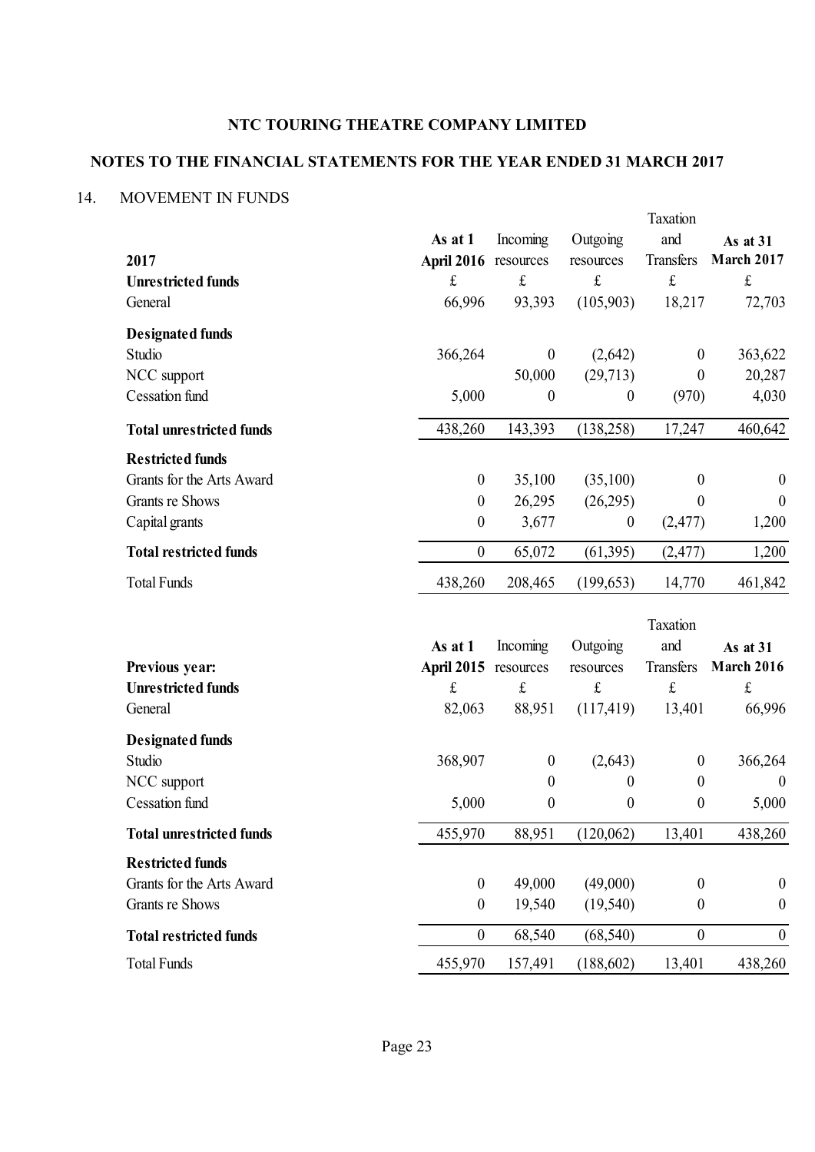# **NOTES TO THE FINANCIAL STATEMENTS FOR THE YEAR ENDED 31 MARCH 2017**

## 14. MOVEMENT IN FUNDS

|                                      |                      |                        |                  | Taxation                 |                     |
|--------------------------------------|----------------------|------------------------|------------------|--------------------------|---------------------|
|                                      | As at 1              | Incoming               | Outgoing         | and                      | As at 31            |
| 2017                                 | April 2016 resources |                        | resources        | Transfers                | <b>March 2017</b>   |
| <b>Unrestricted funds</b>            | $\pounds$            | $\frak{t}$             | $\pounds$        | $\mathbf f$              | $\mathbf f$         |
| General                              | 66,996               | 93,393                 | (105,903)        | 18,217                   | 72,703              |
| <b>Designated funds</b>              |                      |                        |                  |                          |                     |
| Studio                               | 366,264              | $\boldsymbol{0}$       | (2,642)          | $\overline{0}$           | 363,622             |
| NCC support                          |                      | 50,000                 | (29,713)         | $\theta$                 | 20,287              |
| <b>Cessation</b> fund                | 5,000                | $\boldsymbol{0}$       | $\boldsymbol{0}$ | (970)                    | 4,030               |
| <b>Total unrestricted funds</b>      | 438,260              | 143,393                | (138, 258)       | 17,247                   | 460,642             |
| <b>Restricted funds</b>              |                      |                        |                  |                          |                     |
| Grants for the Arts Award            | $\boldsymbol{0}$     | 35,100                 | (35,100)         | $\boldsymbol{0}$         | $\boldsymbol{0}$    |
| Grants re Shows                      | $\boldsymbol{0}$     | 26,295                 | (26,295)         | $\theta$                 | $\boldsymbol{0}$    |
| Capital grants                       | $\boldsymbol{0}$     | 3,677                  | $\boldsymbol{0}$ | (2,477)                  | 1,200               |
| <b>Total restricted funds</b>        | $\boldsymbol{0}$     | 65,072                 | (61, 395)        | (2, 477)                 | 1,200               |
| <b>Total Funds</b>                   | 438,260              | 208,465                | (199, 653)       | 14,770                   | 461,842             |
|                                      |                      |                        |                  |                          |                     |
|                                      |                      |                        |                  |                          |                     |
|                                      |                      |                        |                  | Taxation                 |                     |
|                                      | As at 1              | Incoming               | Outgoing         | and                      | As at 31            |
| Previous year:                       | <b>April 2015</b>    | resources<br>$\pounds$ | resources<br>£   | Transfers<br>$\mathbf f$ | <b>March 2016</b>   |
| <b>Unrestricted funds</b><br>General | $\pounds$<br>82,063  | 88,951                 | (117, 419)       | 13,401                   | $\pounds$<br>66,996 |
|                                      |                      |                        |                  |                          |                     |
| <b>Designated funds</b><br>Studio    | 368,907              | $\boldsymbol{0}$       | (2,643)          | $\overline{0}$           | 366,264             |
| NCC support                          |                      | $\boldsymbol{0}$       | $\boldsymbol{0}$ | $\boldsymbol{0}$         | $\boldsymbol{0}$    |
| <b>Cessation</b> fund                | 5,000                | $\pmb{0}$              | $\boldsymbol{0}$ | $\boldsymbol{0}$         | 5,000               |
| <b>Total unrestricted funds</b>      | 455,970              | 88,951                 | (120,062)        | 13,401                   | 438,260             |
| <b>Restricted funds</b>              |                      |                        |                  |                          |                     |
| Grants for the Arts Award            | $\boldsymbol{0}$     | 49,000                 | (49,000)         | $\theta$                 | $\boldsymbol{0}$    |
| Grants re Shows                      | $\boldsymbol{0}$     | 19,540                 | (19, 540)        | $\boldsymbol{0}$         | $\boldsymbol{0}$    |
| <b>Total restricted funds</b>        | $\boldsymbol{0}$     | 68,540                 | (68, 540)        | $\boldsymbol{0}$         | $\boldsymbol{0}$    |